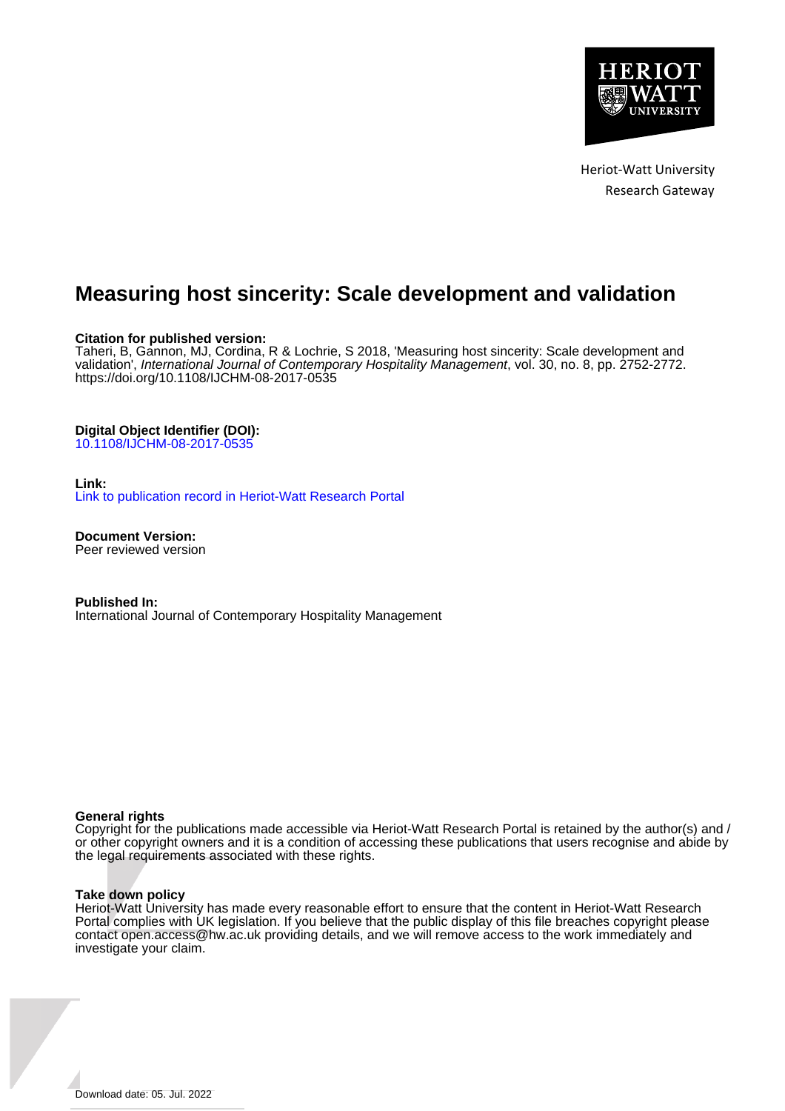

Heriot-Watt University Research Gateway

# **Measuring host sincerity: Scale development and validation**

#### **Citation for published version:**

Taheri, B, Gannon, MJ, Cordina, R & Lochrie, S 2018, 'Measuring host sincerity: Scale development and validation', International Journal of Contemporary Hospitality Management, vol. 30, no. 8, pp. 2752-2772. <https://doi.org/10.1108/IJCHM-08-2017-0535>

#### **Digital Object Identifier (DOI):**

[10.1108/IJCHM-08-2017-0535](https://doi.org/10.1108/IJCHM-08-2017-0535)

#### **Link:**

[Link to publication record in Heriot-Watt Research Portal](https://researchportal.hw.ac.uk/en/publications/1d50b7a1-39f8-49ec-a996-94887c800355)

**Document Version:** Peer reviewed version

**Published In:** International Journal of Contemporary Hospitality Management

#### **General rights**

Copyright for the publications made accessible via Heriot-Watt Research Portal is retained by the author(s) and / or other copyright owners and it is a condition of accessing these publications that users recognise and abide by the legal requirements associated with these rights.

#### **Take down policy**

Heriot-Watt University has made every reasonable effort to ensure that the content in Heriot-Watt Research Portal complies with UK legislation. If you believe that the public display of this file breaches copyright please contact open.access@hw.ac.uk providing details, and we will remove access to the work immediately and investigate your claim.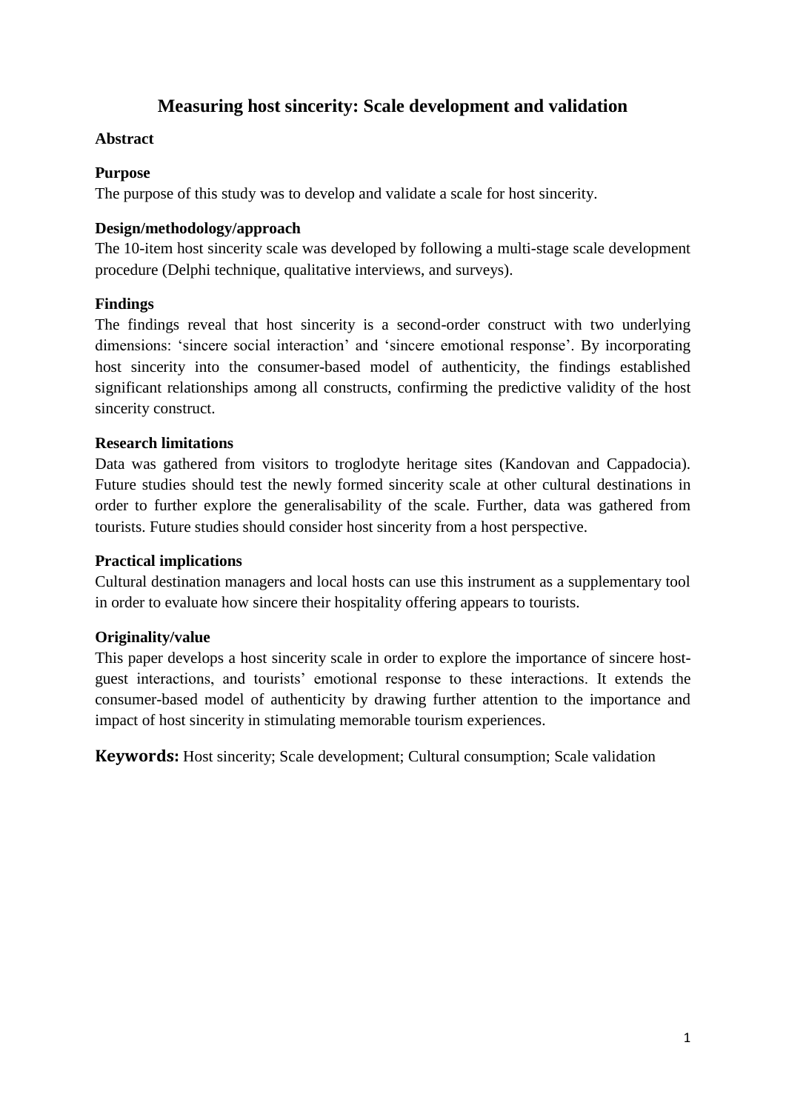# **Measuring host sincerity: Scale development and validation**

### **Abstract**

### **Purpose**

The purpose of this study was to develop and validate a scale for host sincerity.

### **Design/methodology/approach**

The 10-item host sincerity scale was developed by following a multi-stage scale development procedure (Delphi technique, qualitative interviews, and surveys).

### **Findings**

The findings reveal that host sincerity is a second-order construct with two underlying dimensions: 'sincere social interaction' and 'sincere emotional response'. By incorporating host sincerity into the consumer-based model of authenticity, the findings established significant relationships among all constructs, confirming the predictive validity of the host sincerity construct.

### **Research limitations**

Data was gathered from visitors to troglodyte heritage sites (Kandovan and Cappadocia). Future studies should test the newly formed sincerity scale at other cultural destinations in order to further explore the generalisability of the scale. Further, data was gathered from tourists. Future studies should consider host sincerity from a host perspective.

### **Practical implications**

Cultural destination managers and local hosts can use this instrument as a supplementary tool in order to evaluate how sincere their hospitality offering appears to tourists.

# **Originality/value**

This paper develops a host sincerity scale in order to explore the importance of sincere hostguest interactions, and tourists' emotional response to these interactions. It extends the consumer-based model of authenticity by drawing further attention to the importance and impact of host sincerity in stimulating memorable tourism experiences.

**Keywords:** Host sincerity; Scale development; Cultural consumption; Scale validation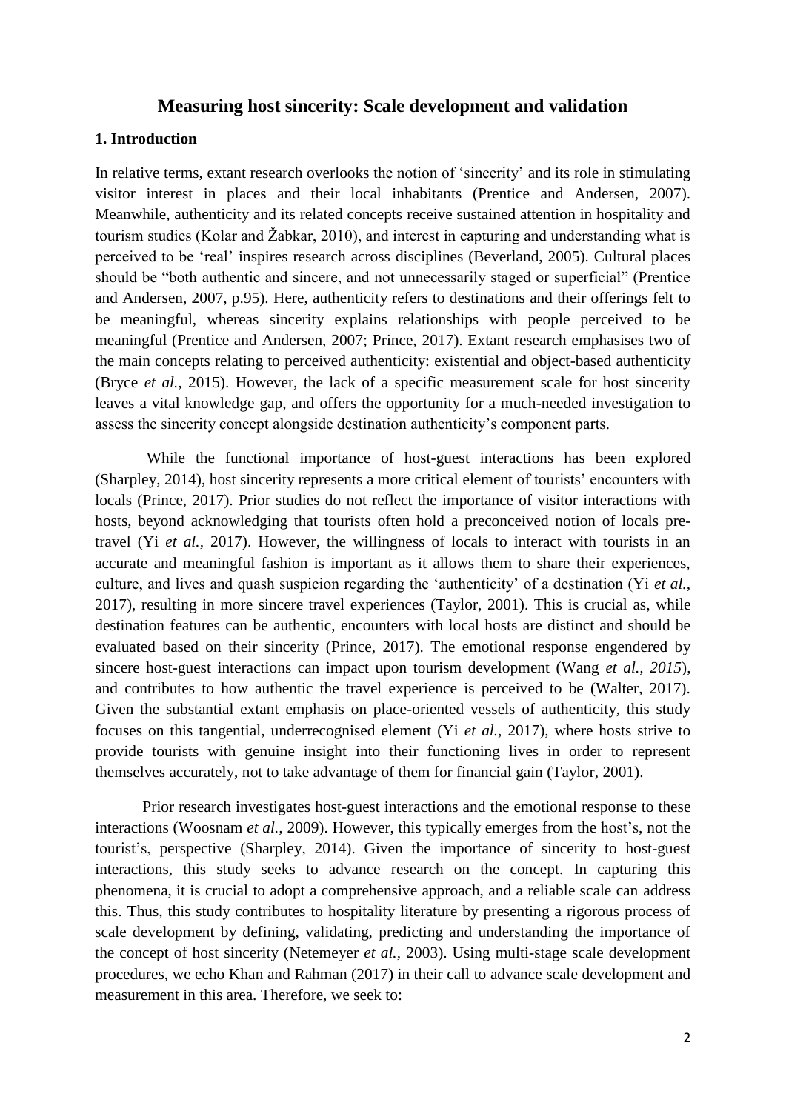### **Measuring host sincerity: Scale development and validation**

### **1. Introduction**

In relative terms, extant research overlooks the notion of 'sincerity' and its role in stimulating visitor interest in places and their local inhabitants (Prentice and Andersen, 2007). Meanwhile, authenticity and its related concepts receive sustained attention in hospitality and tourism studies (Kolar and Žabkar, 2010), and interest in capturing and understanding what is perceived to be 'real' inspires research across disciplines (Beverland, 2005). Cultural places should be "both authentic and sincere, and not unnecessarily staged or superficial" (Prentice and Andersen, 2007, p.95). Here, authenticity refers to destinations and their offerings felt to be meaningful, whereas sincerity explains relationships with people perceived to be meaningful (Prentice and Andersen, 2007; Prince, 2017). Extant research emphasises two of the main concepts relating to perceived authenticity: existential and object-based authenticity (Bryce *et al.,* 2015). However, the lack of a specific measurement scale for host sincerity leaves a vital knowledge gap, and offers the opportunity for a much-needed investigation to assess the sincerity concept alongside destination authenticity's component parts.

While the functional importance of host-guest interactions has been explored (Sharpley, 2014), host sincerity represents a more critical element of tourists' encounters with locals (Prince, 2017). Prior studies do not reflect the importance of visitor interactions with hosts, beyond acknowledging that tourists often hold a preconceived notion of locals pretravel (Yi *et al.,* 2017). However, the willingness of locals to interact with tourists in an accurate and meaningful fashion is important as it allows them to share their experiences, culture, and lives and quash suspicion regarding the 'authenticity' of a destination (Yi *et al.,* 2017), resulting in more sincere travel experiences (Taylor, 2001). This is crucial as, while destination features can be authentic, encounters with local hosts are distinct and should be evaluated based on their sincerity (Prince, 2017). The emotional response engendered by sincere host-guest interactions can impact upon tourism development (Wang *et al., 2015*), and contributes to how authentic the travel experience is perceived to be (Walter, 2017). Given the substantial extant emphasis on place-oriented vessels of authenticity, this study focuses on this tangential, underrecognised element (Yi *et al.,* 2017), where hosts strive to provide tourists with genuine insight into their functioning lives in order to represent themselves accurately, not to take advantage of them for financial gain (Taylor, 2001).

Prior research investigates host-guest interactions and the emotional response to these interactions (Woosnam *et al.,* 2009). However, this typically emerges from the host's, not the tourist's, perspective (Sharpley, 2014). Given the importance of sincerity to host-guest interactions, this study seeks to advance research on the concept. In capturing this phenomena, it is crucial to adopt a comprehensive approach, and a reliable scale can address this. Thus, this study contributes to hospitality literature by presenting a rigorous process of scale development by defining, validating, predicting and understanding the importance of the concept of host sincerity (Netemeyer *et al.,* 2003). Using multi-stage scale development procedures, we echo Khan and Rahman (2017) in their call to advance scale development and measurement in this area. Therefore, we seek to: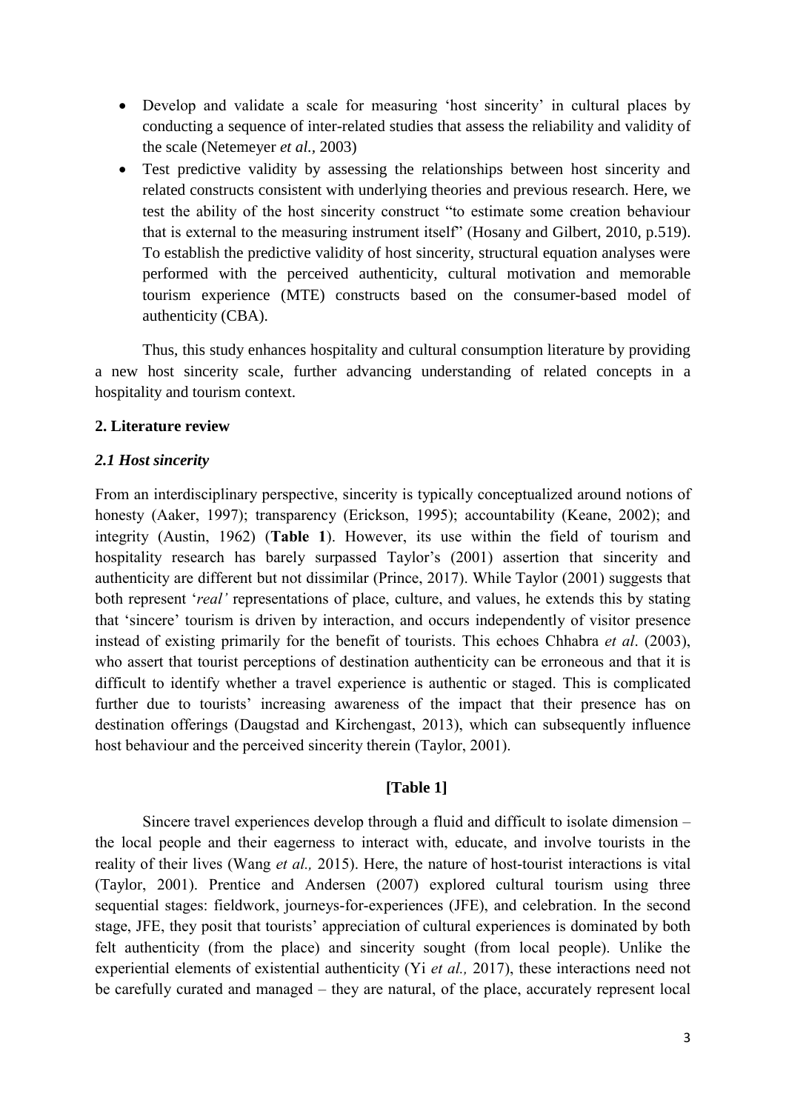- Develop and validate a scale for measuring 'host sincerity' in cultural places by conducting a sequence of inter-related studies that assess the reliability and validity of the scale (Netemeyer *et al.,* 2003)
- Test predictive validity by assessing the relationships between host sincerity and related constructs consistent with underlying theories and previous research. Here, we test the ability of the host sincerity construct "to estimate some creation behaviour that is external to the measuring instrument itself" (Hosany and Gilbert, 2010, p.519). To establish the predictive validity of host sincerity, structural equation analyses were performed with the perceived authenticity, cultural motivation and memorable tourism experience (MTE) constructs based on the consumer-based model of authenticity (CBA).

Thus, this study enhances hospitality and cultural consumption literature by providing a new host sincerity scale, further advancing understanding of related concepts in a hospitality and tourism context.

### **2. Literature review**

### *2.1 Host sincerity*

From an interdisciplinary perspective, sincerity is typically conceptualized around notions of honesty (Aaker, 1997); transparency (Erickson, 1995); accountability (Keane, 2002); and integrity (Austin, 1962) (**Table 1**). However, its use within the field of tourism and hospitality research has barely surpassed Taylor's (2001) assertion that sincerity and authenticity are different but not dissimilar (Prince, 2017). While Taylor (2001) suggests that both represent '*real'* representations of place, culture, and values, he extends this by stating that 'sincere' tourism is driven by interaction, and occurs independently of visitor presence instead of existing primarily for the benefit of tourists. This echoes Chhabra *et al*. (2003), who assert that tourist perceptions of destination authenticity can be erroneous and that it is difficult to identify whether a travel experience is authentic or staged. This is complicated further due to tourists' increasing awareness of the impact that their presence has on destination offerings (Daugstad and Kirchengast, 2013), which can subsequently influence host behaviour and the perceived sincerity therein (Taylor, 2001).

# **[Table 1]**

Sincere travel experiences develop through a fluid and difficult to isolate dimension – the local people and their eagerness to interact with, educate, and involve tourists in the reality of their lives (Wang *et al.,* 2015). Here, the nature of host-tourist interactions is vital (Taylor, 2001). Prentice and Andersen (2007) explored cultural tourism using three sequential stages: fieldwork, journeys-for-experiences (JFE), and celebration. In the second stage, JFE, they posit that tourists' appreciation of cultural experiences is dominated by both felt authenticity (from the place) and sincerity sought (from local people). Unlike the experiential elements of existential authenticity (Yi *et al.,* 2017), these interactions need not be carefully curated and managed – they are natural, of the place, accurately represent local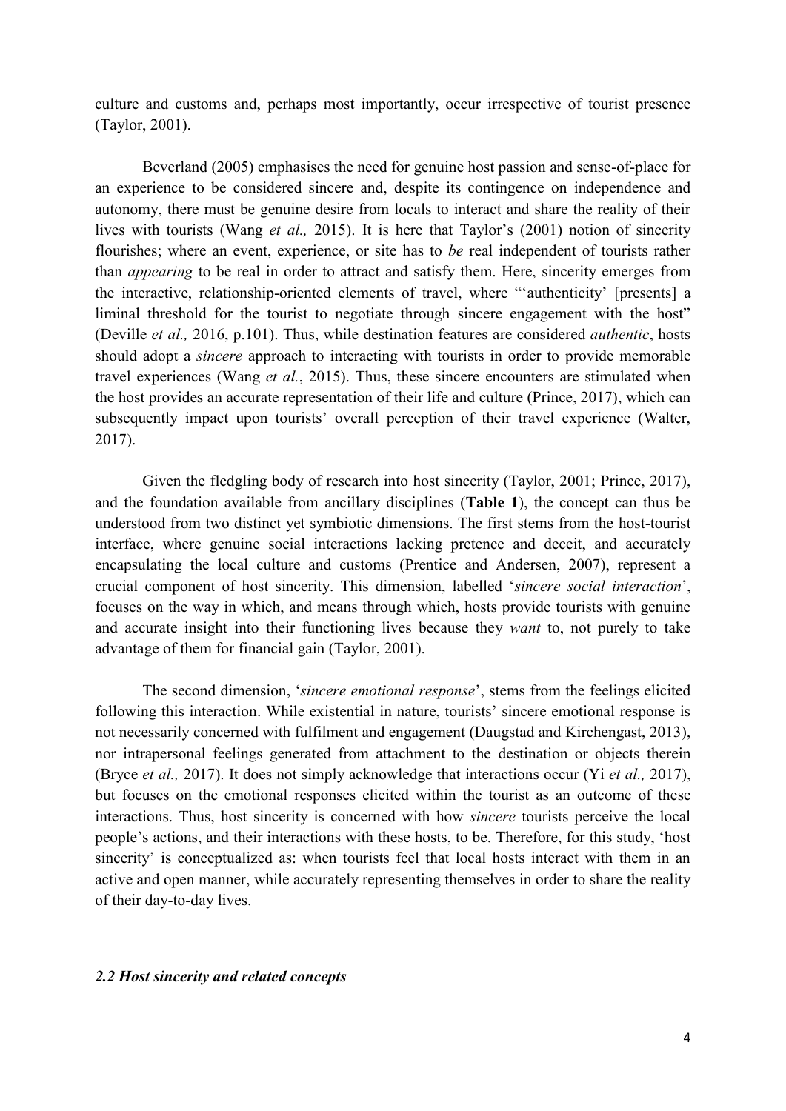culture and customs and, perhaps most importantly, occur irrespective of tourist presence (Taylor, 2001).

Beverland (2005) emphasises the need for genuine host passion and sense-of-place for an experience to be considered sincere and, despite its contingence on independence and autonomy, there must be genuine desire from locals to interact and share the reality of their lives with tourists (Wang *et al.,* 2015). It is here that Taylor's (2001) notion of sincerity flourishes; where an event, experience, or site has to *be* real independent of tourists rather than *appearing* to be real in order to attract and satisfy them. Here, sincerity emerges from the interactive, relationship-oriented elements of travel, where "'authenticity' [presents] a liminal threshold for the tourist to negotiate through sincere engagement with the host" (Deville *et al.,* 2016, p.101). Thus, while destination features are considered *authentic*, hosts should adopt a *sincere* approach to interacting with tourists in order to provide memorable travel experiences (Wang *et al.*, 2015). Thus, these sincere encounters are stimulated when the host provides an accurate representation of their life and culture (Prince, 2017), which can subsequently impact upon tourists' overall perception of their travel experience (Walter, 2017).

Given the fledgling body of research into host sincerity (Taylor, 2001; Prince, 2017), and the foundation available from ancillary disciplines (**Table 1**), the concept can thus be understood from two distinct yet symbiotic dimensions. The first stems from the host-tourist interface, where genuine social interactions lacking pretence and deceit, and accurately encapsulating the local culture and customs (Prentice and Andersen, 2007), represent a crucial component of host sincerity. This dimension, labelled '*sincere social interaction*', focuses on the way in which, and means through which, hosts provide tourists with genuine and accurate insight into their functioning lives because they *want* to, not purely to take advantage of them for financial gain (Taylor, 2001).

The second dimension, '*sincere emotional response*', stems from the feelings elicited following this interaction. While existential in nature, tourists' sincere emotional response is not necessarily concerned with fulfilment and engagement (Daugstad and Kirchengast, 2013), nor intrapersonal feelings generated from attachment to the destination or objects therein (Bryce *et al.,* 2017). It does not simply acknowledge that interactions occur (Yi *et al.,* 2017), but focuses on the emotional responses elicited within the tourist as an outcome of these interactions. Thus, host sincerity is concerned with how *sincere* tourists perceive the local people's actions, and their interactions with these hosts, to be. Therefore, for this study, 'host sincerity' is conceptualized as: when tourists feel that local hosts interact with them in an active and open manner, while accurately representing themselves in order to share the reality of their day-to-day lives.

#### *2.2 Host sincerity and related concepts*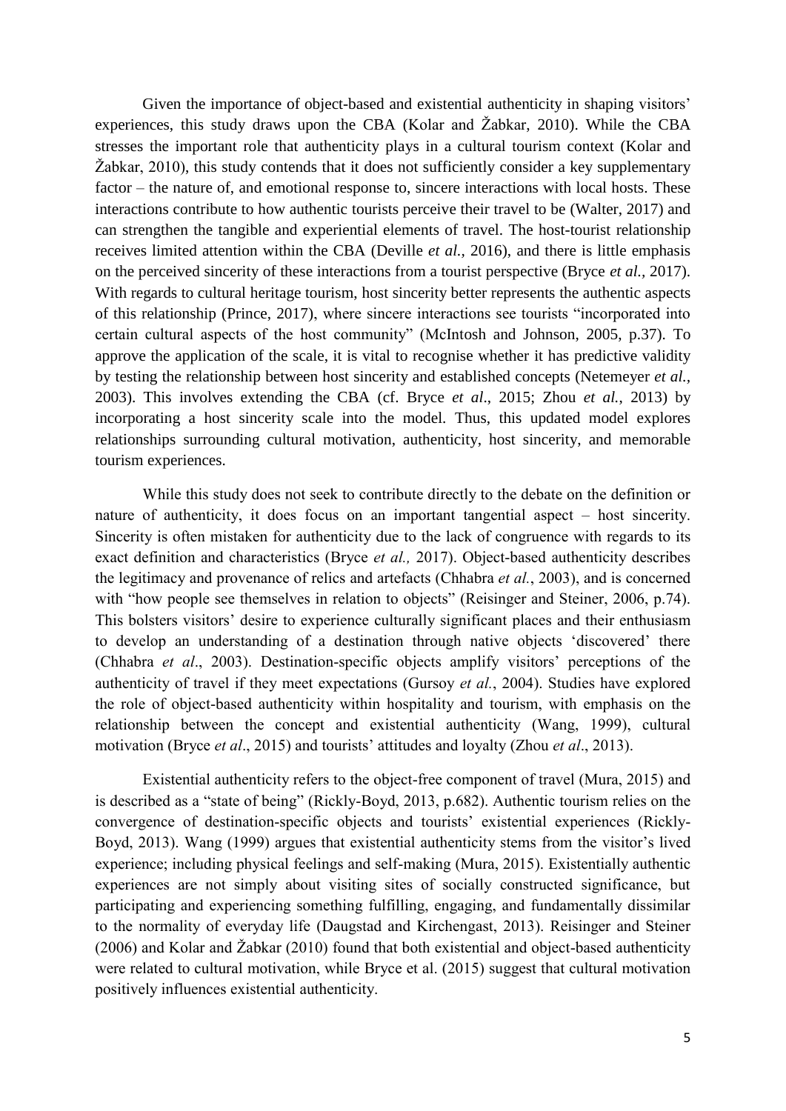Given the importance of object-based and existential authenticity in shaping visitors' experiences, this study draws upon the CBA (Kolar and Žabkar, 2010). While the CBA stresses the important role that authenticity plays in a cultural tourism context (Kolar and Žabkar, 2010), this study contends that it does not sufficiently consider a key supplementary factor – the nature of, and emotional response to, sincere interactions with local hosts. These interactions contribute to how authentic tourists perceive their travel to be (Walter, 2017) and can strengthen the tangible and experiential elements of travel. The host-tourist relationship receives limited attention within the CBA (Deville *et al.,* 2016), and there is little emphasis on the perceived sincerity of these interactions from a tourist perspective (Bryce *et al.,* 2017). With regards to cultural heritage tourism, host sincerity better represents the authentic aspects of this relationship (Prince, 2017), where sincere interactions see tourists "incorporated into certain cultural aspects of the host community" (McIntosh and Johnson, 2005, p.37). To approve the application of the scale, it is vital to recognise whether it has predictive validity by testing the relationship between host sincerity and established concepts (Netemeyer *et al.,* 2003). This involves extending the CBA (cf. Bryce *et al*., 2015; Zhou *et al.*, 2013) by incorporating a host sincerity scale into the model. Thus, this updated model explores relationships surrounding cultural motivation, authenticity, host sincerity, and memorable tourism experiences.

While this study does not seek to contribute directly to the debate on the definition or nature of authenticity, it does focus on an important tangential aspect – host sincerity. Sincerity is often mistaken for authenticity due to the lack of congruence with regards to its exact definition and characteristics (Bryce *et al.,* 2017). Object-based authenticity describes the legitimacy and provenance of relics and artefacts (Chhabra *et al.*, 2003), and is concerned with "how people see themselves in relation to objects" (Reisinger and Steiner, 2006, p.74). This bolsters visitors' desire to experience culturally significant places and their enthusiasm to develop an understanding of a destination through native objects 'discovered' there (Chhabra *et al*., 2003). Destination-specific objects amplify visitors' perceptions of the authenticity of travel if they meet expectations (Gursoy *et al.*, 2004). Studies have explored the role of object-based authenticity within hospitality and tourism, with emphasis on the relationship between the concept and existential authenticity (Wang, 1999), cultural motivation (Bryce *et al*., 2015) and tourists' attitudes and loyalty (Zhou *et al*., 2013).

Existential authenticity refers to the object-free component of travel (Mura, 2015) and is described as a "state of being" (Rickly-Boyd, 2013, p.682). Authentic tourism relies on the convergence of destination-specific objects and tourists' existential experiences (Rickly-Boyd, 2013). Wang (1999) argues that existential authenticity stems from the visitor's lived experience; including physical feelings and self-making (Mura, 2015). Existentially authentic experiences are not simply about visiting sites of socially constructed significance, but participating and experiencing something fulfilling, engaging, and fundamentally dissimilar to the normality of everyday life (Daugstad and Kirchengast, 2013). Reisinger and Steiner (2006) and Kolar and Žabkar (2010) found that both existential and object-based authenticity were related to cultural motivation, while Bryce et al. (2015) suggest that cultural motivation positively influences existential authenticity.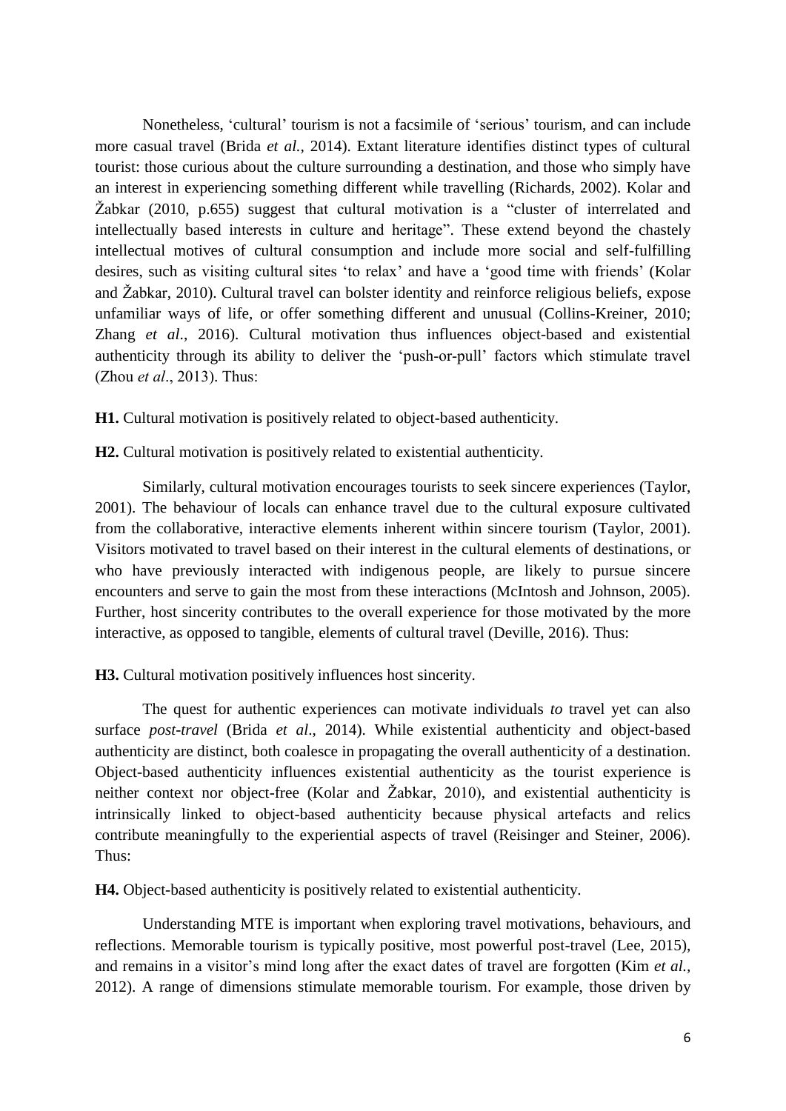Nonetheless, 'cultural' tourism is not a facsimile of 'serious' tourism, and can include more casual travel (Brida *et al.,* 2014). Extant literature identifies distinct types of cultural tourist: those curious about the culture surrounding a destination, and those who simply have an interest in experiencing something different while travelling (Richards, 2002). Kolar and Žabkar (2010, p.655) suggest that cultural motivation is a "cluster of interrelated and intellectually based interests in culture and heritage". These extend beyond the chastely intellectual motives of cultural consumption and include more social and self-fulfilling desires, such as visiting cultural sites 'to relax' and have a 'good time with friends' (Kolar and Žabkar, 2010). Cultural travel can bolster identity and reinforce religious beliefs, expose unfamiliar ways of life, or offer something different and unusual (Collins-Kreiner, 2010; Zhang *et al*., 2016). Cultural motivation thus influences object-based and existential authenticity through its ability to deliver the 'push-or-pull' factors which stimulate travel (Zhou *et al*., 2013). Thus:

**H1.** Cultural motivation is positively related to object-based authenticity.

**H2.** Cultural motivation is positively related to existential authenticity.

Similarly, cultural motivation encourages tourists to seek sincere experiences (Taylor, 2001). The behaviour of locals can enhance travel due to the cultural exposure cultivated from the collaborative, interactive elements inherent within sincere tourism (Taylor, 2001). Visitors motivated to travel based on their interest in the cultural elements of destinations, or who have previously interacted with indigenous people, are likely to pursue sincere encounters and serve to gain the most from these interactions (McIntosh and Johnson, 2005). Further, host sincerity contributes to the overall experience for those motivated by the more interactive, as opposed to tangible, elements of cultural travel (Deville, 2016). Thus:

**H3.** Cultural motivation positively influences host sincerity.

The quest for authentic experiences can motivate individuals *to* travel yet can also surface *post-travel* (Brida *et al*., 2014). While existential authenticity and object-based authenticity are distinct, both coalesce in propagating the overall authenticity of a destination. Object-based authenticity influences existential authenticity as the tourist experience is neither context nor object-free (Kolar and Žabkar, 2010), and existential authenticity is intrinsically linked to object-based authenticity because physical artefacts and relics contribute meaningfully to the experiential aspects of travel (Reisinger and Steiner, 2006). Thus:

**H4.** Object-based authenticity is positively related to existential authenticity.

Understanding MTE is important when exploring travel motivations, behaviours, and reflections. Memorable tourism is typically positive, most powerful post-travel (Lee, 2015), and remains in a visitor's mind long after the exact dates of travel are forgotten (Kim *et al.,* 2012). A range of dimensions stimulate memorable tourism. For example, those driven by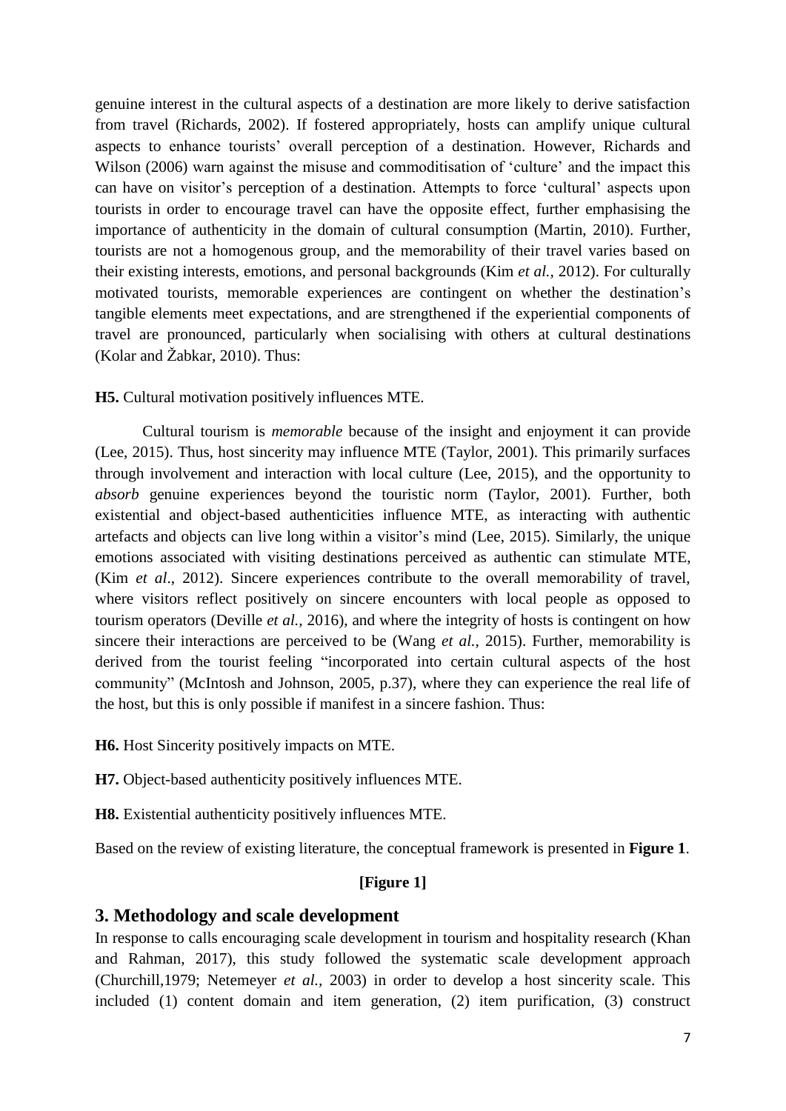genuine interest in the cultural aspects of a destination are more likely to derive satisfaction from travel (Richards, 2002). If fostered appropriately, hosts can amplify unique cultural aspects to enhance tourists' overall perception of a destination. However, Richards and Wilson (2006) warn against the misuse and commoditisation of 'culture' and the impact this can have on visitor's perception of a destination. Attempts to force 'cultural' aspects upon tourists in order to encourage travel can have the opposite effect, further emphasising the importance of authenticity in the domain of cultural consumption (Martin, 2010). Further, tourists are not a homogenous group, and the memorability of their travel varies based on their existing interests, emotions, and personal backgrounds (Kim *et al.,* 2012). For culturally motivated tourists, memorable experiences are contingent on whether the destination's tangible elements meet expectations, and are strengthened if the experiential components of travel are pronounced, particularly when socialising with others at cultural destinations (Kolar and Žabkar, 2010). Thus:

### **H5.** Cultural motivation positively influences MTE.

Cultural tourism is *memorable* because of the insight and enjoyment it can provide (Lee, 2015). Thus, host sincerity may influence MTE (Taylor, 2001). This primarily surfaces through involvement and interaction with local culture (Lee, 2015), and the opportunity to *absorb* genuine experiences beyond the touristic norm (Taylor, 2001). Further, both existential and object-based authenticities influence MTE, as interacting with authentic artefacts and objects can live long within a visitor's mind (Lee, 2015). Similarly, the unique emotions associated with visiting destinations perceived as authentic can stimulate MTE, (Kim *et al*., 2012). Sincere experiences contribute to the overall memorability of travel, where visitors reflect positively on sincere encounters with local people as opposed to tourism operators (Deville *et al.,* 2016), and where the integrity of hosts is contingent on how sincere their interactions are perceived to be (Wang *et al.,* 2015). Further, memorability is derived from the tourist feeling "incorporated into certain cultural aspects of the host community" (McIntosh and Johnson, 2005, p.37), where they can experience the real life of the host, but this is only possible if manifest in a sincere fashion. Thus:

**H6.** Host Sincerity positively impacts on MTE.

**H7.** Object-based authenticity positively influences MTE.

**H8.** Existential authenticity positively influences MTE.

Based on the review of existing literature, the conceptual framework is presented in **Figure 1**.

### **[Figure 1]**

### **3. Methodology and scale development**

In response to calls encouraging scale development in tourism and hospitality research (Khan and Rahman, 2017), this study followed the systematic scale development approach (Churchill,1979; Netemeyer *et al.,* 2003) in order to develop a host sincerity scale. This included (1) content domain and item generation, (2) item purification, (3) construct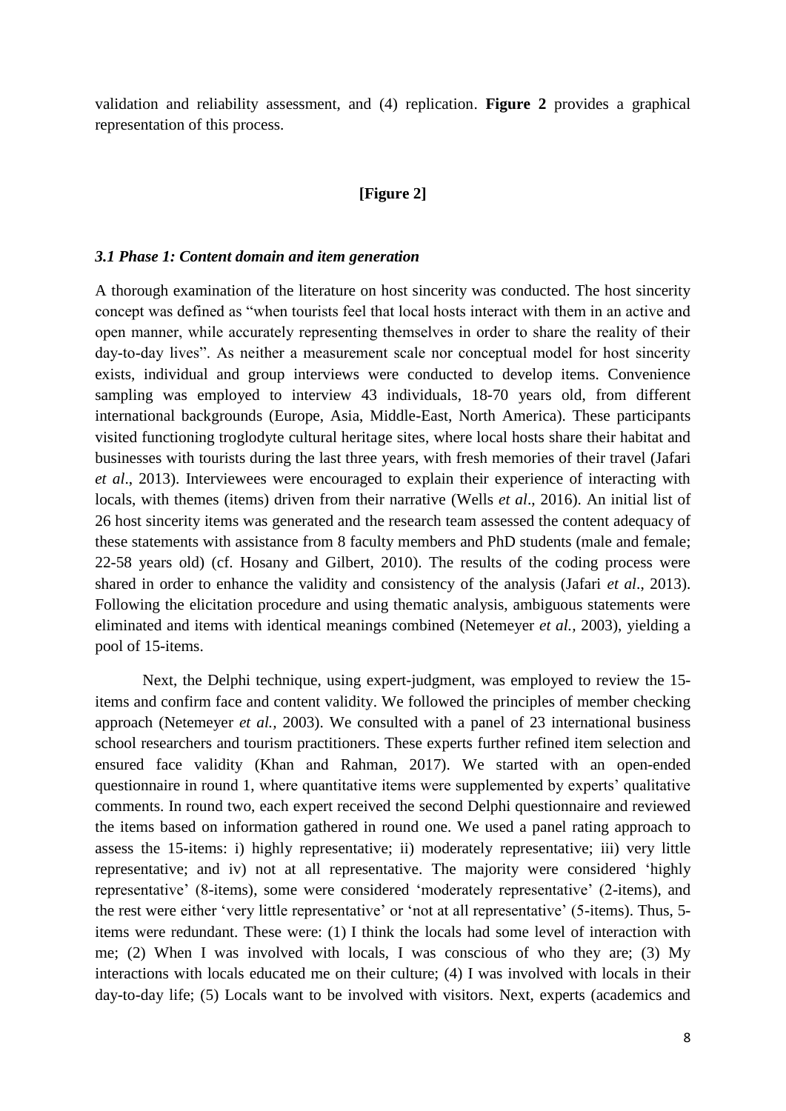validation and reliability assessment, and (4) replication. **Figure 2** provides a graphical representation of this process.

#### **[Figure 2]**

#### *3.1 Phase 1: Content domain and item generation*

A thorough examination of the literature on host sincerity was conducted. The host sincerity concept was defined as "when tourists feel that local hosts interact with them in an active and open manner, while accurately representing themselves in order to share the reality of their day-to-day lives". As neither a measurement scale nor conceptual model for host sincerity exists, individual and group interviews were conducted to develop items. Convenience sampling was employed to interview 43 individuals, 18-70 years old, from different international backgrounds (Europe, Asia, Middle-East, North America). These participants visited functioning troglodyte cultural heritage sites, where local hosts share their habitat and businesses with tourists during the last three years, with fresh memories of their travel (Jafari *et al*., 2013). Interviewees were encouraged to explain their experience of interacting with locals, with themes (items) driven from their narrative (Wells *et al*., 2016). An initial list of 26 host sincerity items was generated and the research team assessed the content adequacy of these statements with assistance from 8 faculty members and PhD students (male and female; 22-58 years old) (cf. Hosany and Gilbert, 2010). The results of the coding process were shared in order to enhance the validity and consistency of the analysis (Jafari *et al*., 2013). Following the elicitation procedure and using thematic analysis, ambiguous statements were eliminated and items with identical meanings combined (Netemeyer *et al.,* 2003), yielding a pool of 15-items.

Next, the Delphi technique, using expert-judgment, was employed to review the 15 items and confirm face and content validity. We followed the principles of member checking approach (Netemeyer *et al.,* 2003). We consulted with a panel of 23 international business school researchers and tourism practitioners. These experts further refined item selection and ensured face validity (Khan and Rahman, 2017). We started with an open-ended questionnaire in round 1, where quantitative items were supplemented by experts' qualitative comments. In round two, each expert received the second Delphi questionnaire and reviewed the items based on information gathered in round one. We used a panel rating approach to assess the 15-items: i) highly representative; ii) moderately representative; iii) very little representative; and iv) not at all representative. The majority were considered 'highly representative' (8-items), some were considered 'moderately representative' (2-items), and the rest were either 'very little representative' or 'not at all representative' (5-items). Thus, 5 items were redundant. These were: (1) I think the locals had some level of interaction with me; (2) When I was involved with locals, I was conscious of who they are; (3) My interactions with locals educated me on their culture; (4) I was involved with locals in their day-to-day life; (5) Locals want to be involved with visitors. Next, experts (academics and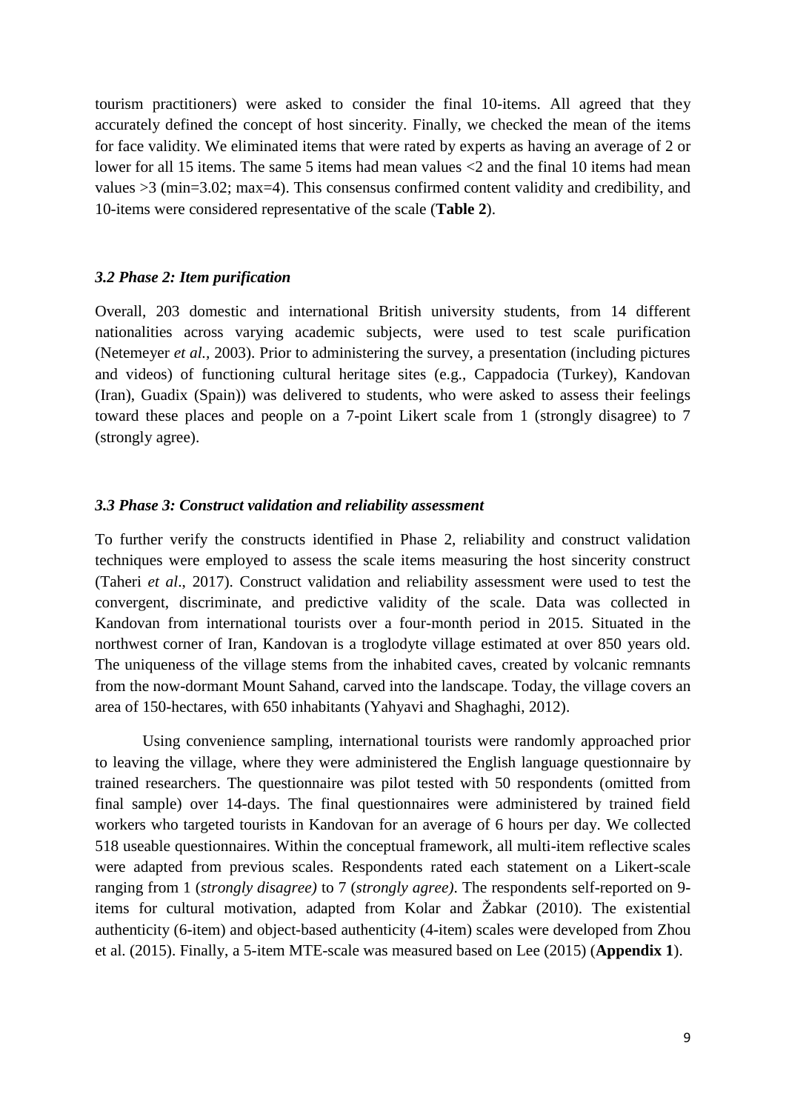tourism practitioners) were asked to consider the final 10-items. All agreed that they accurately defined the concept of host sincerity. Finally, we checked the mean of the items for face validity. We eliminated items that were rated by experts as having an average of 2 or lower for all 15 items. The same 5 items had mean values <2 and the final 10 items had mean values >3 (min=3.02; max=4). This consensus confirmed content validity and credibility, and 10-items were considered representative of the scale (**Table 2**).

#### *3.2 Phase 2: Item purification*

Overall, 203 domestic and international British university students, from 14 different nationalities across varying academic subjects, were used to test scale purification (Netemeyer *et al.,* 2003). Prior to administering the survey, a presentation (including pictures and videos) of functioning cultural heritage sites (e.g., Cappadocia (Turkey), Kandovan (Iran), Guadix (Spain)) was delivered to students, who were asked to assess their feelings toward these places and people on a 7-point Likert scale from 1 (strongly disagree) to 7 (strongly agree).

#### *3.3 Phase 3: Construct validation and reliability assessment*

To further verify the constructs identified in Phase 2, reliability and construct validation techniques were employed to assess the scale items measuring the host sincerity construct (Taheri *et al*., 2017). Construct validation and reliability assessment were used to test the convergent, discriminate, and predictive validity of the scale. Data was collected in Kandovan from international tourists over a four-month period in 2015. Situated in the northwest corner of Iran, Kandovan is a troglodyte village estimated at over 850 years old. The uniqueness of the village stems from the inhabited caves, created by volcanic remnants from the now-dormant Mount Sahand, carved into the landscape. Today, the village covers an area of 150-hectares, with 650 inhabitants (Yahyavi and Shaghaghi, 2012).

Using convenience sampling, international tourists were randomly approached prior to leaving the village, where they were administered the English language questionnaire by trained researchers. The questionnaire was pilot tested with 50 respondents (omitted from final sample) over 14-days. The final questionnaires were administered by trained field workers who targeted tourists in Kandovan for an average of 6 hours per day. We collected 518 useable questionnaires. Within the conceptual framework, all multi-item reflective scales were adapted from previous scales. Respondents rated each statement on a Likert-scale ranging from 1 (*strongly disagree)* to 7 (*strongly agree)*. The respondents self-reported on 9 items for cultural motivation, adapted from Kolar and Žabkar (2010). The existential authenticity (6-item) and object-based authenticity (4-item) scales were developed from Zhou et al. (2015). Finally, a 5-item MTE-scale was measured based on Lee (2015) (**Appendix 1**).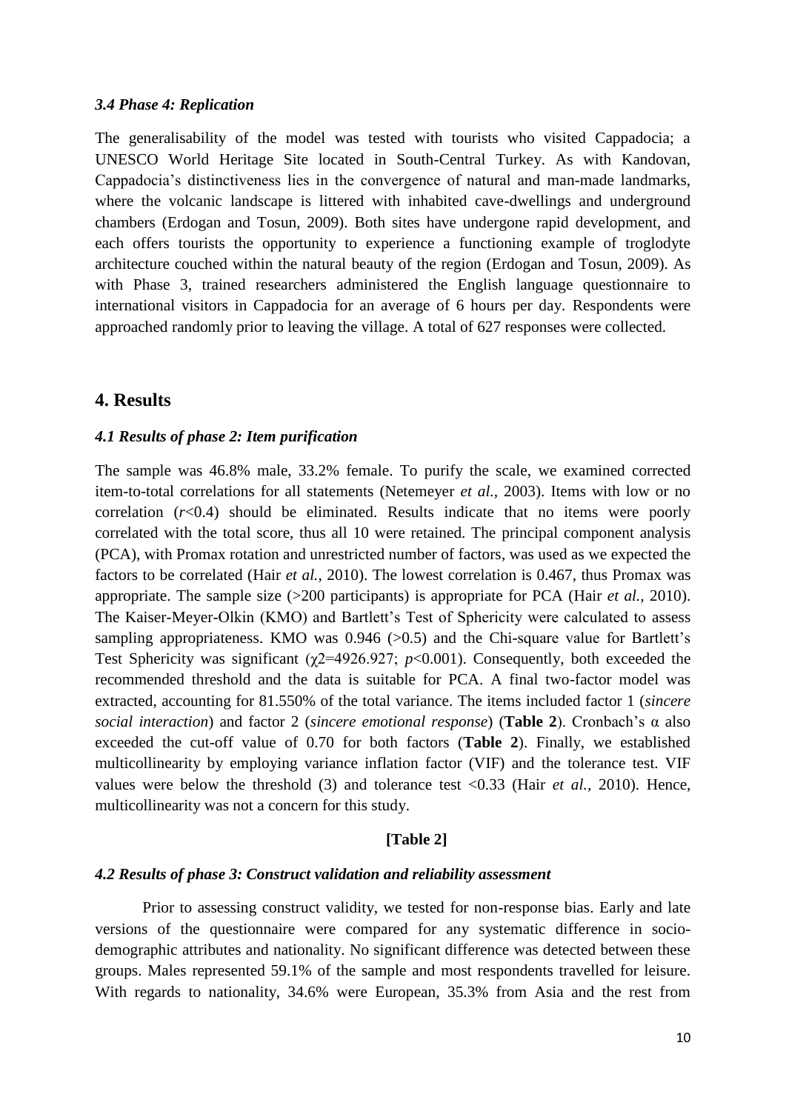#### *3.4 Phase 4: Replication*

The generalisability of the model was tested with tourists who visited Cappadocia; a UNESCO World Heritage Site located in South-Central Turkey. As with Kandovan, Cappadocia's distinctiveness lies in the convergence of natural and man-made landmarks, where the volcanic landscape is littered with inhabited cave-dwellings and underground chambers (Erdogan and Tosun, 2009). Both sites have undergone rapid development, and each offers tourists the opportunity to experience a functioning example of troglodyte architecture couched within the natural beauty of the region (Erdogan and Tosun, 2009). As with Phase 3, trained researchers administered the English language questionnaire to international visitors in Cappadocia for an average of 6 hours per day. Respondents were approached randomly prior to leaving the village. A total of 627 responses were collected.

### **4. Results**

#### *4.1 Results of phase 2: Item purification*

The sample was 46.8% male, 33.2% female. To purify the scale, we examined corrected item-to-total correlations for all statements (Netemeyer *et al.,* 2003). Items with low or no correlation  $(r<0.4)$  should be eliminated. Results indicate that no items were poorly correlated with the total score, thus all 10 were retained. The principal component analysis (PCA), with Promax rotation and unrestricted number of factors, was used as we expected the factors to be correlated (Hair *et al.,* 2010). The lowest correlation is 0.467, thus Promax was appropriate. The sample size (>200 participants) is appropriate for PCA (Hair *et al.,* 2010). The Kaiser-Meyer-Olkin (KMO) and Bartlett's Test of Sphericity were calculated to assess sampling appropriateness. KMO was  $0.946$  ( $>0.5$ ) and the Chi-square value for Bartlett's Test Sphericity was significant ( $\chi$ 2=4926.927; *p*<0.001). Consequently, both exceeded the recommended threshold and the data is suitable for PCA. A final two-factor model was extracted, accounting for 81.550% of the total variance. The items included factor 1 (*sincere social interaction*) and factor 2 (*sincere emotional response*) (**Table 2**). Cronbach's α also exceeded the cut-off value of 0.70 for both factors (**Table 2**). Finally, we established multicollinearity by employing variance inflation factor (VIF) and the tolerance test. VIF values were below the threshold (3) and tolerance test <0.33 (Hair *et al.,* 2010). Hence, multicollinearity was not a concern for this study.

#### **[Table 2]**

#### *4.2 Results of phase 3: Construct validation and reliability assessment*

Prior to assessing construct validity, we tested for non-response bias. Early and late versions of the questionnaire were compared for any systematic difference in sociodemographic attributes and nationality. No significant difference was detected between these groups. Males represented 59.1% of the sample and most respondents travelled for leisure. With regards to nationality, 34.6% were European, 35.3% from Asia and the rest from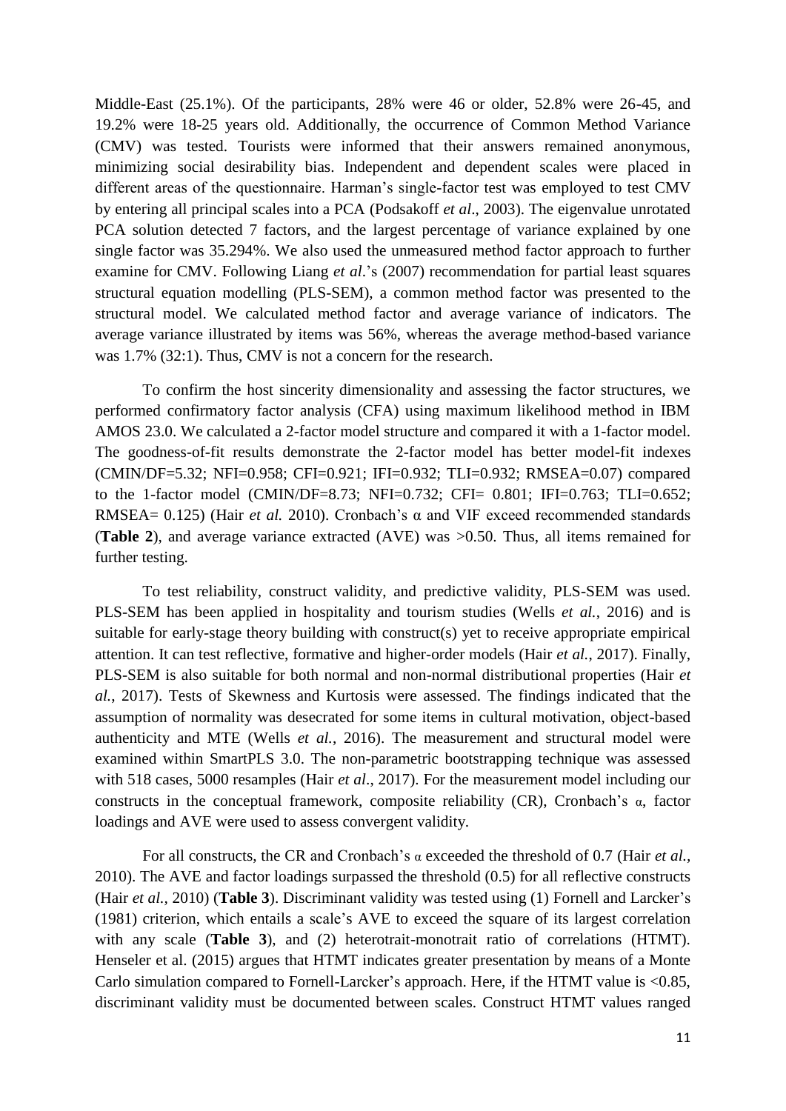Middle-East (25.1%). Of the participants, 28% were 46 or older, 52.8% were 26-45, and 19.2% were 18-25 years old. Additionally, the occurrence of Common Method Variance (CMV) was tested. Tourists were informed that their answers remained anonymous, minimizing social desirability bias. Independent and dependent scales were placed in different areas of the questionnaire. Harman's single-factor test was employed to test CMV by entering all principal scales into a PCA (Podsakoff *et al*., 2003). The eigenvalue unrotated PCA solution detected 7 factors, and the largest percentage of variance explained by one single factor was 35.294%. We also used the unmeasured method factor approach to further examine for CMV. Following Liang *et al*.'s (2007) recommendation for partial least squares structural equation modelling (PLS-SEM), a common method factor was presented to the structural model. We calculated method factor and average variance of indicators. The average variance illustrated by items was 56%, whereas the average method-based variance was 1.7% (32:1). Thus, CMV is not a concern for the research.

To confirm the host sincerity dimensionality and assessing the factor structures, we performed confirmatory factor analysis (CFA) using maximum likelihood method in IBM AMOS 23.0. We calculated a 2-factor model structure and compared it with a 1-factor model. The goodness-of-fit results demonstrate the 2-factor model has better model-fit indexes (CMIN/DF=5.32; NFI=0.958; CFI=0.921; IFI=0.932; TLI=0.932; RMSEA=0.07) compared to the 1-factor model (CMIN/DF=8.73; NFI=0.732; CFI= 0.801; IFI=0.763; TLI=0.652; RMSEA= 0.125) (Hair *et al.* 2010). Cronbach's α and VIF exceed recommended standards (**Table 2**), and average variance extracted (AVE) was >0.50. Thus, all items remained for further testing.

To test reliability, construct validity, and predictive validity, PLS-SEM was used. PLS-SEM has been applied in hospitality and tourism studies (Wells *et al.*, 2016) and is suitable for early-stage theory building with construct(s) yet to receive appropriate empirical attention. It can test reflective, formative and higher-order models (Hair *et al.*, 2017). Finally, PLS-SEM is also suitable for both normal and non-normal distributional properties (Hair *et al.*, 2017). Tests of Skewness and Kurtosis were assessed. The findings indicated that the assumption of normality was desecrated for some items in cultural motivation, object-based authenticity and MTE (Wells *et al.*, 2016). The measurement and structural model were examined within SmartPLS 3.0. The non-parametric bootstrapping technique was assessed with 518 cases, 5000 resamples (Hair *et al*., 2017). For the measurement model including our constructs in the conceptual framework, composite reliability (CR), Cronbach's α, factor loadings and AVE were used to assess convergent validity.

For all constructs, the CR and Cronbach's α exceeded the threshold of 0.7 (Hair *et al.,* 2010). The AVE and factor loadings surpassed the threshold (0.5) for all reflective constructs (Hair *et al.,* 2010) (**Table 3**). Discriminant validity was tested using (1) [Fornell and Larcker's](#page-17-0) [\(1981\)](#page-17-0) criterion, which entails a scale's AVE to exceed the square of its largest correlation with any scale (**Table 3**), and (2) heterotrait-monotrait ratio of correlations (HTMT). Henseler et al. (2015) argues that HTMT indicates greater presentation by means of a Monte Carlo simulation compared to Fornell-Larcker's approach. Here, if the HTMT value is <0.85, discriminant validity must be documented between scales. Construct HTMT values ranged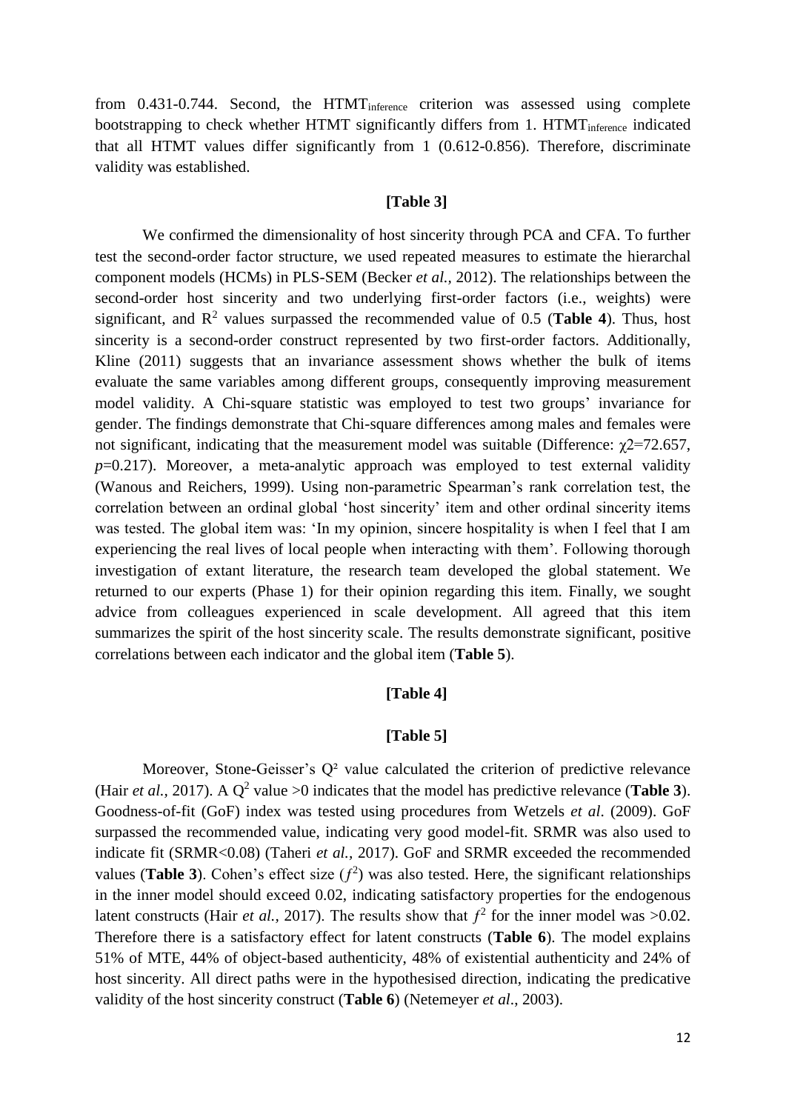from 0.431-0.744. Second, the HTMT<sub>inference</sub> criterion was assessed using complete bootstrapping to check whether HTMT significantly differs from 1. HTMT<sub>inference</sub> indicated that all HTMT values differ significantly from 1 (0.612-0.856). Therefore, discriminate validity was established.

### **[Table 3]**

We confirmed the dimensionality of host sincerity through PCA and CFA. To further test the second-order factor structure, we used repeated measures to estimate the hierarchal component models (HCMs) in PLS-SEM (Becker *et al.,* 2012). The relationships between the second-order host sincerity and two underlying first-order factors (i.e., weights) were significant, and  $\mathbb{R}^2$  values surpassed the recommended value of 0.5 (**Table 4**). Thus, host sincerity is a second-order construct represented by two first-order factors. Additionally, Kline (2011) suggests that an invariance assessment shows whether the bulk of items evaluate the same variables among different groups, consequently improving measurement model validity. A Chi-square statistic was employed to test two groups' invariance for gender. The findings demonstrate that Chi-square differences among males and females were not significant, indicating that the measurement model was suitable (Difference:  $\gamma$ 2=72.657, *p*=0.217). Moreover, a meta-analytic approach was employed to test external validity (Wanous and Reichers, 1999). Using non-parametric Spearman's rank correlation test, the correlation between an ordinal global 'host sincerity' item and other ordinal sincerity items was tested. The global item was: 'In my opinion, sincere hospitality is when I feel that I am experiencing the real lives of local people when interacting with them'. Following thorough investigation of extant literature, the research team developed the global statement. We returned to our experts (Phase 1) for their opinion regarding this item. Finally, we sought advice from colleagues experienced in scale development. All agreed that this item summarizes the spirit of the host sincerity scale. The results demonstrate significant, positive correlations between each indicator and the global item (**Table 5**).

### **[Table 4]**

### **[Table 5]**

Moreover, Stone-Geisser's Q<sup>2</sup> value calculated the criterion of predictive relevance (Hair *et al.*, 2017). A  $Q^2$  value >0 indicates that the model has predictive relevance (**Table 3**). Goodness-of-fit (GoF) index was tested using procedures from Wetzels *et al*. (2009). GoF surpassed the recommended value, indicating very good model-fit. SRMR was also used to indicate fit (SRMR<0.08) (Taheri *et al.,* 2017). GoF and SRMR exceeded the recommended values (**Table 3**). Cohen's effect size  $(f^2)$  was also tested. Here, the significant relationships in the inner model should exceed 0.02, indicating satisfactory properties for the endogenous latent constructs (Hair *et al.,* 2017). The results show that  $f^2$  for the inner model was  $>0.02$ . Therefore there is a satisfactory effect for latent constructs (**Table 6**). The model explains 51% of MTE, 44% of object-based authenticity, 48% of existential authenticity and 24% of host sincerity. All direct paths were in the hypothesised direction, indicating the predicative validity of the host sincerity construct (**Table 6**) (Netemeyer *et al*., 2003).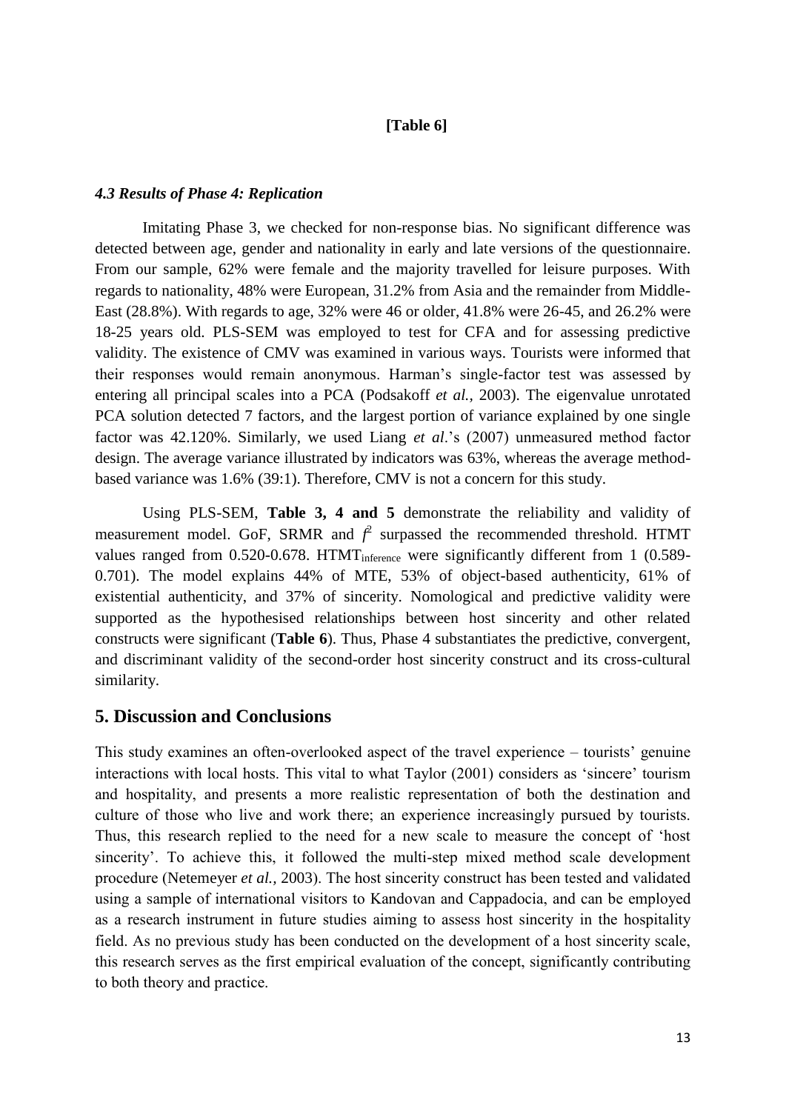# **[Table 6]**

# *4.3 Results of Phase 4: Replication*

Imitating Phase 3, we checked for non-response bias. No significant difference was detected between age, gender and nationality in early and late versions of the questionnaire. From our sample, 62% were female and the majority travelled for leisure purposes. With regards to nationality, 48% were European, 31.2% from Asia and the remainder from Middle-East (28.8%). With regards to age, 32% were 46 or older, 41.8% were 26-45, and 26.2% were 18-25 years old. PLS-SEM was employed to test for CFA and for assessing predictive validity. The existence of CMV was examined in various ways. Tourists were informed that their responses would remain anonymous. Harman's single-factor test was assessed by entering all principal scales into a PCA (Podsakoff *et al.,* 2003). The eigenvalue unrotated PCA solution detected 7 factors, and the largest portion of variance explained by one single factor was 42.120%. Similarly, we used Liang *et al*.'s (2007) unmeasured method factor design. The average variance illustrated by indicators was 63%, whereas the average methodbased variance was 1.6% (39:1). Therefore, CMV is not a concern for this study.

Using PLS-SEM, **Table 3, 4 and 5** demonstrate the reliability and validity of measurement model. GoF, SRMR and  $f^2$  surpassed the recommended threshold. HTMT values ranged from 0.520-0.678. HTMT<sub>inference</sub> were significantly different from 1 (0.589-0.701). The model explains 44% of MTE, 53% of object-based authenticity, 61% of existential authenticity, and 37% of sincerity. Nomological and predictive validity were supported as the hypothesised relationships between host sincerity and other related constructs were significant (**Table 6**). Thus, Phase 4 substantiates the predictive, convergent, and discriminant validity of the second-order host sincerity construct and its cross-cultural similarity.

# **5. Discussion and Conclusions**

This study examines an often-overlooked aspect of the travel experience – tourists' genuine interactions with local hosts. This vital to what Taylor (2001) considers as 'sincere' tourism and hospitality, and presents a more realistic representation of both the destination and culture of those who live and work there; an experience increasingly pursued by tourists. Thus, this research replied to the need for a new scale to measure the concept of 'host sincerity'. To achieve this, it followed the multi-step mixed method scale development procedure (Netemeyer *et al.,* 2003). The host sincerity construct has been tested and validated using a sample of international visitors to Kandovan and Cappadocia, and can be employed as a research instrument in future studies aiming to assess host sincerity in the hospitality field. As no previous study has been conducted on the development of a host sincerity scale, this research serves as the first empirical evaluation of the concept, significantly contributing to both theory and practice.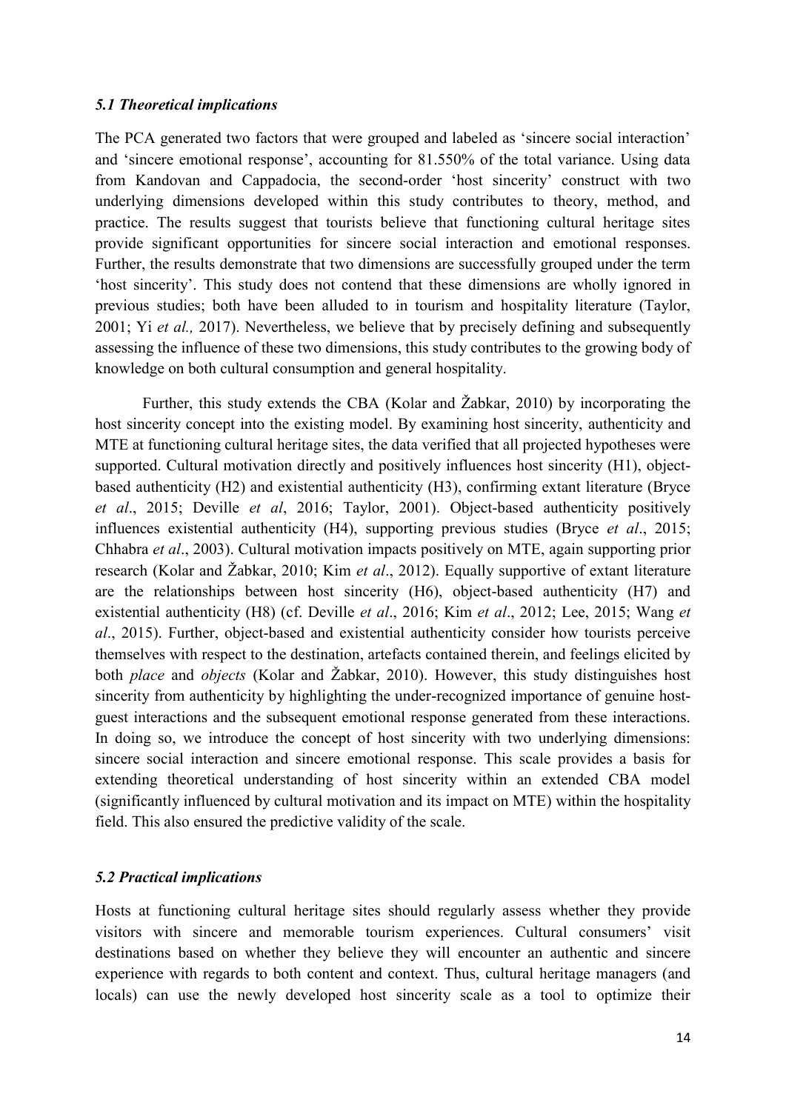### *5.1 Theoretical implications*

The PCA generated two factors that were grouped and labeled as 'sincere social interaction' and 'sincere emotional response', accounting for 81.550% of the total variance. Using data from Kandovan and Cappadocia, the second-order 'host sincerity' construct with two underlying dimensions developed within this study contributes to theory, method, and practice. The results suggest that tourists believe that functioning cultural heritage sites provide significant opportunities for sincere social interaction and emotional responses. Further, the results demonstrate that two dimensions are successfully grouped under the term 'host sincerity'. This study does not contend that these dimensions are wholly ignored in previous studies; both have been alluded to in tourism and hospitality literature (Taylor, 2001; Yi *et al.,* 2017). Nevertheless, we believe that by precisely defining and subsequently assessing the influence of these two dimensions, this study contributes to the growing body of knowledge on both cultural consumption and general hospitality.

Further, this study extends the CBA (Kolar and Žabkar, 2010) by incorporating the host sincerity concept into the existing model. By examining host sincerity, authenticity and MTE at functioning cultural heritage sites, the data verified that all projected hypotheses were supported. Cultural motivation directly and positively influences host sincerity (H1), objectbased authenticity (H2) and existential authenticity (H3), confirming extant literature (Bryce *et al*., 2015; Deville *et al*, 2016; Taylor, 2001). Object-based authenticity positively influences existential authenticity (H4), supporting previous studies (Bryce *et al*., 2015; Chhabra *et al*., 2003). Cultural motivation impacts positively on MTE, again supporting prior research (Kolar and Žabkar, 2010; Kim *et al*., 2012). Equally supportive of extant literature are the relationships between host sincerity (H6), object-based authenticity (H7) and existential authenticity (H8) (cf. Deville *et al*., 2016; Kim *et al*., 2012; Lee, 2015; Wang *et al*., 2015). Further, object-based and existential authenticity consider how tourists perceive themselves with respect to the destination, artefacts contained therein, and feelings elicited by both *place* and *objects* (Kolar and Žabkar, 2010). However, this study distinguishes host sincerity from authenticity by highlighting the under-recognized importance of genuine hostguest interactions and the subsequent emotional response generated from these interactions. In doing so, we introduce the concept of host sincerity with two underlying dimensions: sincere social interaction and sincere emotional response. This scale provides a basis for extending theoretical understanding of host sincerity within an extended CBA model (significantly influenced by cultural motivation and its impact on MTE) within the hospitality field. This also ensured the predictive validity of the scale.

### *5.2 Practical implications*

Hosts at functioning cultural heritage sites should regularly assess whether they provide visitors with sincere and memorable tourism experiences. Cultural consumers' visit destinations based on whether they believe they will encounter an authentic and sincere experience with regards to both content and context. Thus, cultural heritage managers (and locals) can use the newly developed host sincerity scale as a tool to optimize their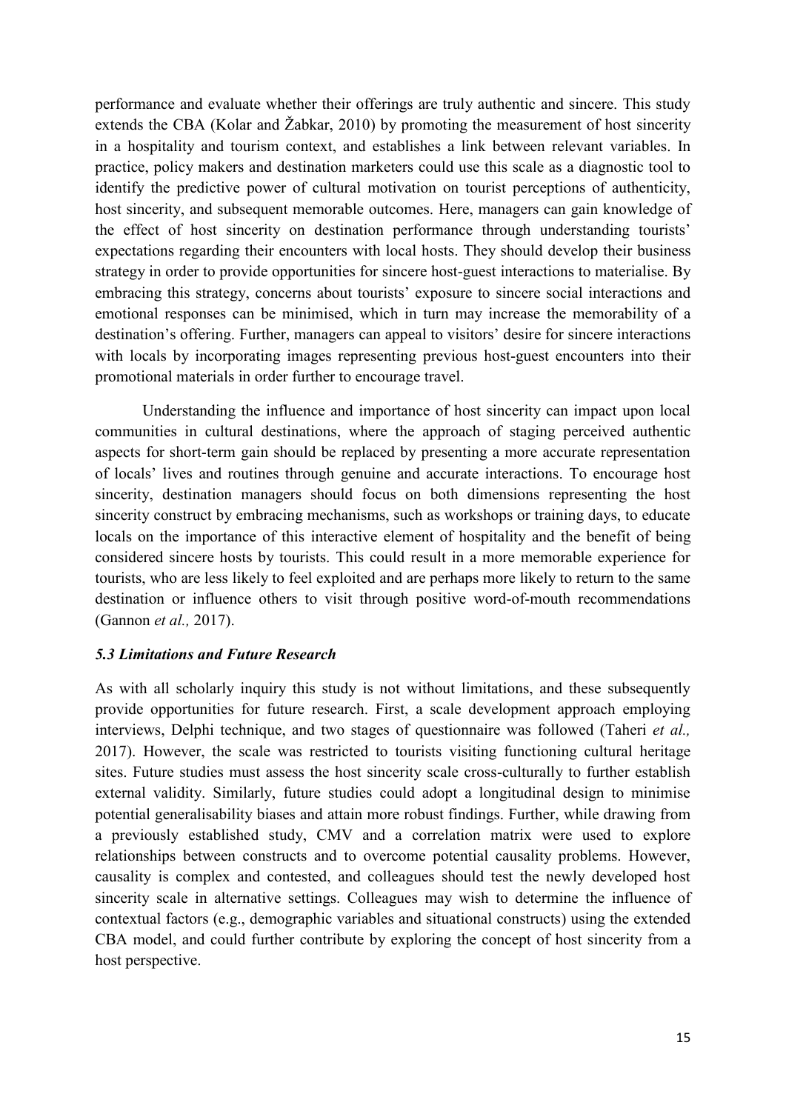performance and evaluate whether their offerings are truly authentic and sincere. This study extends the CBA (Kolar and Žabkar, 2010) by promoting the measurement of host sincerity in a hospitality and tourism context, and establishes a link between relevant variables. In practice, policy makers and destination marketers could use this scale as a diagnostic tool to identify the predictive power of cultural motivation on tourist perceptions of authenticity, host sincerity, and subsequent memorable outcomes. Here, managers can gain knowledge of the effect of host sincerity on destination performance through understanding tourists' expectations regarding their encounters with local hosts. They should develop their business strategy in order to provide opportunities for sincere host-guest interactions to materialise. By embracing this strategy, concerns about tourists' exposure to sincere social interactions and emotional responses can be minimised, which in turn may increase the memorability of a destination's offering. Further, managers can appeal to visitors' desire for sincere interactions with locals by incorporating images representing previous host-guest encounters into their promotional materials in order further to encourage travel.

Understanding the influence and importance of host sincerity can impact upon local communities in cultural destinations, where the approach of staging perceived authentic aspects for short-term gain should be replaced by presenting a more accurate representation of locals' lives and routines through genuine and accurate interactions. To encourage host sincerity, destination managers should focus on both dimensions representing the host sincerity construct by embracing mechanisms, such as workshops or training days, to educate locals on the importance of this interactive element of hospitality and the benefit of being considered sincere hosts by tourists. This could result in a more memorable experience for tourists, who are less likely to feel exploited and are perhaps more likely to return to the same destination or influence others to visit through positive word-of-mouth recommendations (Gannon *et al.,* 2017).

### *5.3 Limitations and Future Research*

As with all scholarly inquiry this study is not without limitations, and these subsequently provide opportunities for future research. First, a scale development approach employing interviews, Delphi technique, and two stages of questionnaire was followed (Taheri *et al.,*  2017). However, the scale was restricted to tourists visiting functioning cultural heritage sites. Future studies must assess the host sincerity scale cross-culturally to further establish external validity. Similarly, future studies could adopt a longitudinal design to minimise potential generalisability biases and attain more robust findings. Further, while drawing from a previously established study, CMV and a correlation matrix were used to explore relationships between constructs and to overcome potential causality problems. However, causality is complex and contested, and colleagues should test the newly developed host sincerity scale in alternative settings. Colleagues may wish to determine the influence of contextual factors (e.g., demographic variables and situational constructs) using the extended CBA model, and could further contribute by exploring the concept of host sincerity from a host perspective.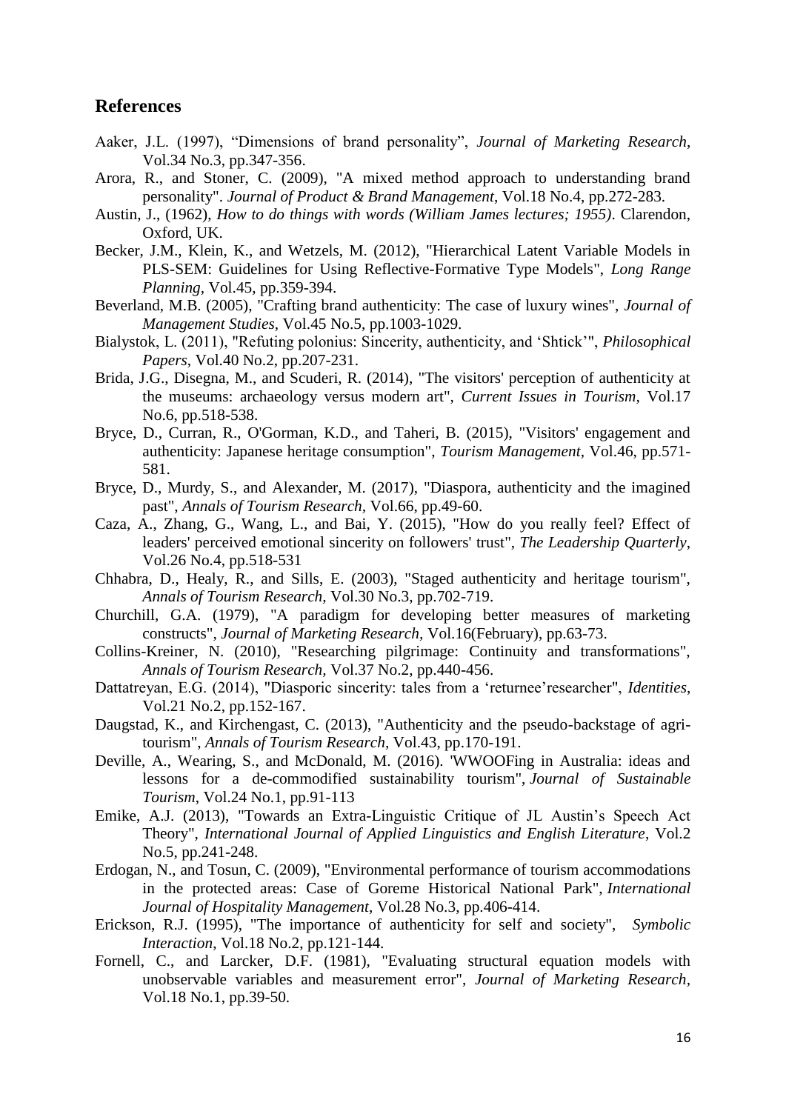# **References**

- Aaker, J.L. (1997), "Dimensions of brand personality", *Journal of Marketing Research*, Vol.34 No.3, pp.347-356.
- Arora, R., and Stoner, C. (2009), "A mixed method approach to understanding brand personality". *Journal of Product & Brand Management*, Vol.18 No.4, pp.272-283.
- Austin, J., (1962), *How to do things with words (William James lectures; 1955)*. Clarendon, Oxford, UK.
- Becker, J.M., Klein, K., and Wetzels, M. (2012), "Hierarchical Latent Variable Models in PLS-SEM: Guidelines for Using Reflective-Formative Type Models", *Long Range Planning,* Vol.45, pp.359-394.
- Beverland, M.B. (2005), "Crafting brand authenticity: The case of luxury wines", *Journal of Management Studies,* Vol.45 No.5, pp.1003-1029.
- Bialystok, L. (2011), "Refuting polonius: Sincerity, authenticity, and 'Shtick'", *Philosophical Papers*, Vol.40 No.2, pp.207-231.
- Brida, J.G., Disegna, M., and Scuderi, R. (2014), "The visitors' perception of authenticity at the museums: archaeology versus modern art", *Current Issues in Tourism,* Vol.17 No.6, pp.518-538.
- Bryce, D., Curran, R., O'Gorman, K.D., and Taheri, B. (2015), "Visitors' engagement and authenticity: Japanese heritage consumption", *Tourism Management,* Vol.46, pp.571- 581.
- Bryce, D., Murdy, S., and Alexander, M. (2017), "Diaspora, authenticity and the imagined past", *Annals of Tourism Research,* Vol.66, pp.49-60.
- Caza, A., Zhang, G., Wang, L., and Bai, Y. (2015), "How do you really feel? Effect of leaders' perceived emotional sincerity on followers' trust", *The Leadership Quarterly*, Vol.26 No.4, pp.518-531
- Chhabra, D., Healy, R., and Sills, E. (2003), "Staged authenticity and heritage tourism", *Annals of Tourism Research,* Vol.30 No.3, pp.702-719.
- Churchill, G.A. (1979), "A paradigm for developing better measures of marketing constructs", *Journal of Marketing Research,* Vol.16(February), pp.63-73.
- Collins-Kreiner, N. (2010), "Researching pilgrimage: Continuity and transformations", *Annals of Tourism Research,* Vol.37 No.2, pp.440-456.
- Dattatreyan, E.G. (2014), "Diasporic sincerity: tales from a 'returnee'researcher", *Identities*, Vol.21 No.2, pp.152-167.
- Daugstad, K., and Kirchengast, C. (2013), "Authenticity and the pseudo-backstage of agritourism", *Annals of Tourism Research,* Vol.43, pp.170-191.
- Deville, A., Wearing, S., and McDonald, M. (2016). 'WWOOFing in Australia: ideas and lessons for a de-commodified sustainability tourism", *Journal of Sustainable Tourism*, Vol.24 No.1, pp.91-113
- Emike, A.J. (2013), "Towards an Extra-Linguistic Critique of JL Austin's Speech Act Theory", *International Journal of Applied Linguistics and English Literature*, Vol.2 No.5, pp.241-248.
- Erdogan, N., and Tosun, C. (2009), "Environmental performance of tourism accommodations in the protected areas: Case of Goreme Historical National Park", *International Journal of Hospitality Management*, Vol.28 No.3, pp.406-414.
- Erickson, R.J. (1995), "The importance of authenticity for self and society", *Symbolic Interaction*, Vol.18 No.2, pp.121-144.
- Fornell, C., and Larcker, D.F. (1981), "Evaluating structural equation models with unobservable variables and measurement error", *Journal of Marketing Research,*  Vol.18 No.1, pp.39-50.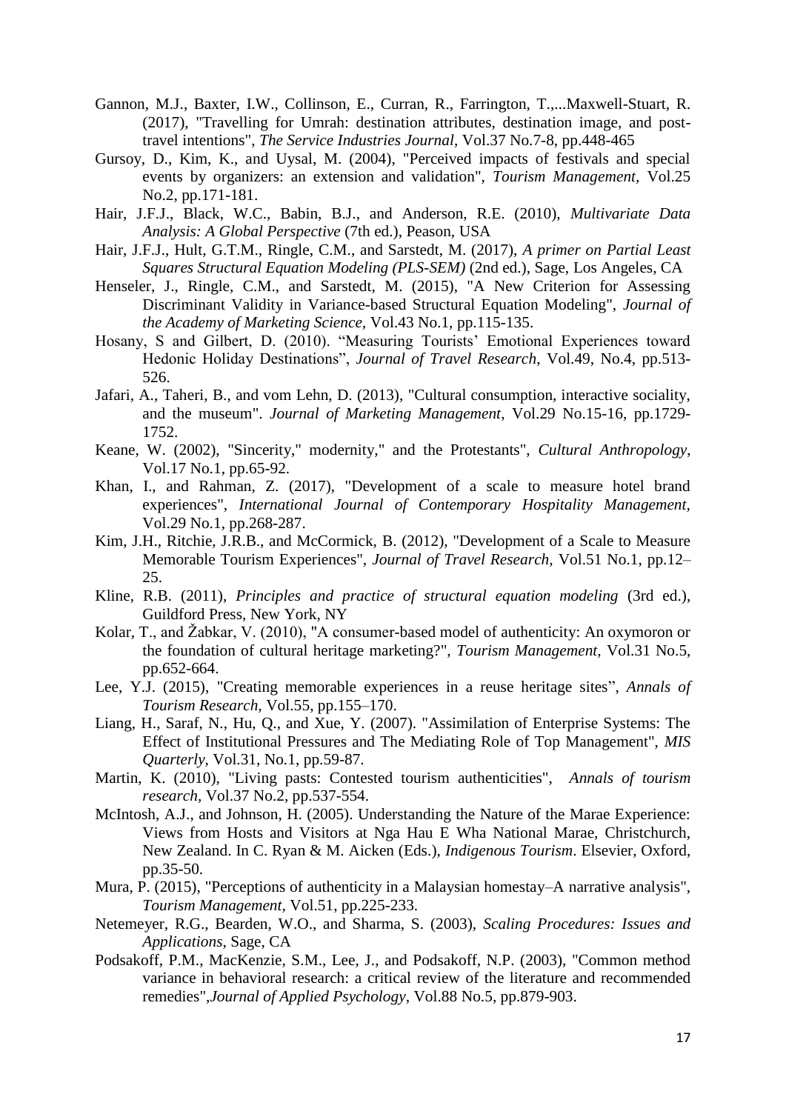- Gannon, M.J., Baxter, I.W., Collinson, E., Curran, R., Farrington, T.,...Maxwell-Stuart, R. (2017), "Travelling for Umrah: destination attributes, destination image, and posttravel intentions", *The Service Industries Journal*, Vol.37 No.7-8, pp.448-465
- <span id="page-17-0"></span>Gursoy, D., Kim, K., and Uysal, M. (2004), "Perceived impacts of festivals and special events by organizers: an extension and validation", *Tourism Management,* Vol.25 No.2, pp.171-181.
- Hair, J.F.J., Black, W.C., Babin, B.J., and Anderson, R.E. (2010), *Multivariate Data Analysis: A Global Perspective* (7th ed.), Peason, USA
- Hair, J.F.J., Hult, G.T.M., Ringle, C.M., and Sarstedt, M. (2017), *A primer on Partial Least Squares Structural Equation Modeling (PLS-SEM)* (2nd ed.), Sage, Los Angeles, CA
- Henseler, J., Ringle, C.M., and Sarstedt, M. (2015), "A New Criterion for Assessing Discriminant Validity in Variance-based Structural Equation Modeling", *Journal of the Academy of Marketing Science,* Vol.43 No.1, pp.115-135.
- Hosany, S and Gilbert, D. (2010). "Measuring Tourists' Emotional Experiences toward Hedonic Holiday Destinations", *Journal of Travel Research*, Vol.49, No.4, pp.513- 526.
- Jafari, A., Taheri, B., and vom Lehn, D. (2013), "Cultural consumption, interactive sociality, and the museum". *Journal of Marketing Management*, Vol.29 No.15-16, pp.1729- 1752.
- Keane, W. (2002), "Sincerity," modernity," and the Protestants", *Cultural Anthropology*, Vol.17 No.1, pp.65-92.
- Khan, I., and Rahman, Z. (2017), "Development of a scale to measure hotel brand experiences", *International Journal of Contemporary Hospitality Management,*  Vol.29 No.1, pp.268-287.
- Kim, J.H., Ritchie, J.R.B., and McCormick, B. (2012), "Development of a Scale to Measure Memorable Tourism Experiences", *Journal of Travel Research,* Vol.51 No.1, pp.12– 25.
- Kline, R.B. (2011), *Principles and practice of structural equation modeling* (3rd ed.), Guildford Press, New York, NY
- Kolar, T., and Žabkar, V. (2010), "A consumer-based model of authenticity: An oxymoron or the foundation of cultural heritage marketing?", *Tourism Management,* Vol.31 No.5, pp.652-664.
- Lee, Y.J. (2015), "Creating memorable experiences in a reuse heritage sites", *Annals of Tourism Research,* Vol.55, pp.155–170.
- Liang, H., Saraf, N., Hu, Q., and Xue, Y. (2007). "Assimilation of Enterprise Systems: The Effect of Institutional Pressures and The Mediating Role of Top Management", *MIS Quarterly*, Vol.31, No.1, pp.59-87.
- Martin, K. (2010), "Living pasts: Contested tourism authenticities", *Annals of tourism research,* Vol.37 No.2, pp.537-554.
- McIntosh, A.J., and Johnson, H. (2005). Understanding the Nature of the Marae Experience: Views from Hosts and Visitors at Nga Hau E Wha National Marae, Christchurch, New Zealand. In C. Ryan & M. Aicken (Eds.), *Indigenous Tourism*. Elsevier, Oxford, pp.35-50.
- Mura, P. (2015), "Perceptions of authenticity in a Malaysian homestay–A narrative analysis", *Tourism Management,* Vol.51, pp.225-233.
- Netemeyer, R.G., Bearden, W.O., and Sharma, S. (2003), *Scaling Procedures: Issues and Applications*, Sage, CA
- Podsakoff, P.M., MacKenzie, S.M., Lee, J., and Podsakoff, N.P. (2003), "Common method variance in behavioral research: a critical review of the literature and recommended remedies",*Journal of Applied Psychology,* Vol.88 No.5, pp.879-903.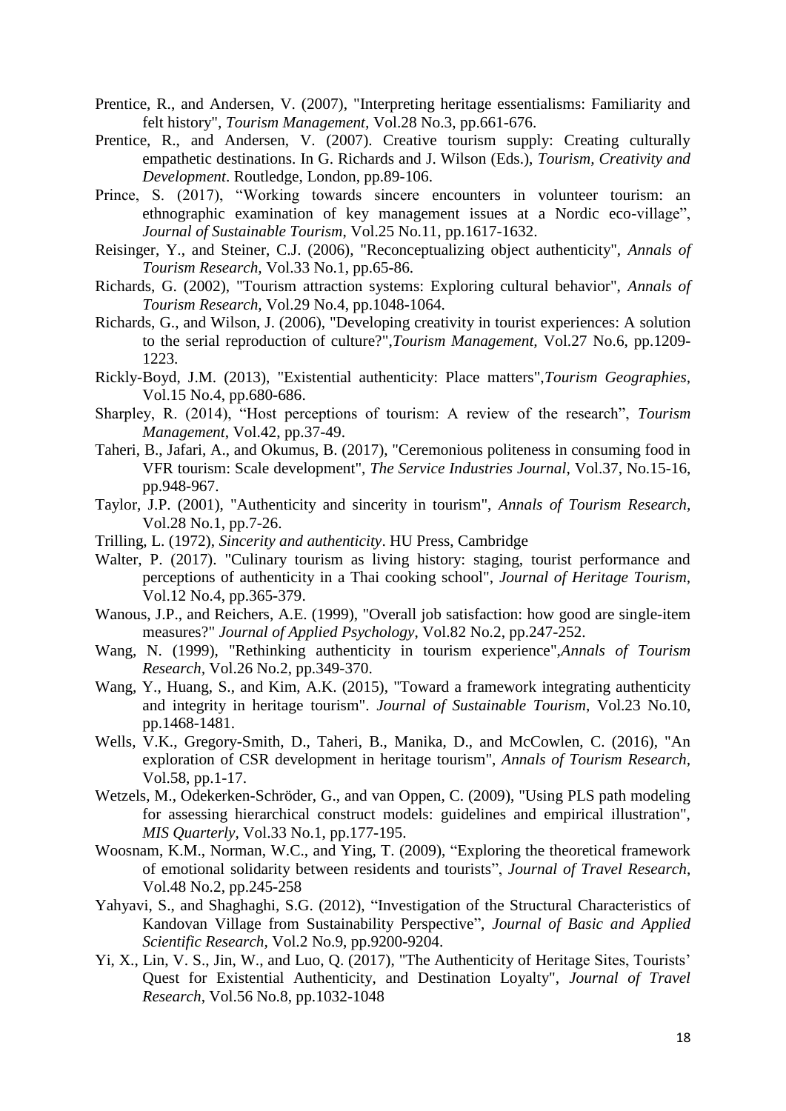- Prentice, R., and Andersen, V. (2007), "Interpreting heritage essentialisms: Familiarity and felt history", *Tourism Management,* Vol.28 No.3, pp.661-676.
- Prentice, R., and Andersen, V. (2007). Creative tourism supply: Creating culturally empathetic destinations. In G. Richards and J. Wilson (Eds.), *Tourism, Creativity and Development*. Routledge, London, pp.89-106.
- Prince, S. (2017), "Working towards sincere encounters in volunteer tourism: an ethnographic examination of key management issues at a Nordic eco-village", *Journal of Sustainable Tourism*, Vol.25 No.11, pp.1617-1632.
- Reisinger, Y., and Steiner, C.J. (2006), "Reconceptualizing object authenticity", *Annals of Tourism Research,* Vol.33 No.1, pp.65-86.
- Richards, G. (2002), "Tourism attraction systems: Exploring cultural behavior", *Annals of Tourism Research,* Vol.29 No.4, pp.1048-1064.
- Richards, G., and Wilson, J. (2006), "Developing creativity in tourist experiences: A solution to the serial reproduction of culture?",*Tourism Management,* Vol.27 No.6, pp.1209- 1223.
- Rickly-Boyd, J.M. (2013), "Existential authenticity: Place matters",*Tourism Geographies,*  Vol.15 No.4, pp.680-686.
- Sharpley, R. (2014), "Host perceptions of tourism: A review of the research", *Tourism Management*, Vol.42, pp.37-49.
- Taheri, B., Jafari, A., and Okumus, B. (2017), "Ceremonious politeness in consuming food in VFR tourism: Scale development", *The Service Industries Journal*, Vol.37, No.15-16, pp.948-967.
- Taylor, J.P. (2001), "Authenticity and sincerity in tourism", *Annals of Tourism Research,*  Vol.28 No.1, pp.7-26.
- Trilling, L. (1972), *Sincerity and authenticity*. HU Press, Cambridge
- Walter, P. (2017). "Culinary tourism as living history: staging, tourist performance and perceptions of authenticity in a Thai cooking school", *Journal of Heritage Tourism,*  Vol.12 No.4, pp.365-379.
- Wanous, J.P., and Reichers, A.E. (1999), "Overall job satisfaction: how good are single-item measures?" *Journal of Applied Psychology*, Vol.82 No.2, pp.247-252.
- Wang, N. (1999), "Rethinking authenticity in tourism experience",*Annals of Tourism Research,* Vol.26 No.2, pp.349-370.
- Wang, Y., Huang, S., and Kim, A.K. (2015), "Toward a framework integrating authenticity and integrity in heritage tourism". *Journal of Sustainable Tourism*, Vol.23 No.10, pp.1468-1481.
- Wells, V.K., Gregory-Smith, D., Taheri, B., Manika, D., and McCowlen, C. (2016), "An exploration of CSR development in heritage tourism", *Annals of Tourism Research,*  Vol.58, pp.1-17.
- Wetzels, M., Odekerken-Schröder, G., and van Oppen, C. (2009), "Using PLS path modeling for assessing hierarchical construct models: guidelines and empirical illustration", *MIS Quarterly,* Vol.33 No.1, pp.177-195.
- Woosnam, K.M., Norman, W.C., and Ying, T. (2009), "Exploring the theoretical framework of emotional solidarity between residents and tourists", *Journal of Travel Research*, Vol.48 No.2, pp.245-258
- Yahyavi, S., and Shaghaghi, S.G. (2012), "Investigation of the Structural Characteristics of Kandovan Village from Sustainability Perspective", *Journal of Basic and Applied Scientific Research,* Vol.2 No.9, pp.9200-9204.
- Yi, X., Lin, V. S., Jin, W., and Luo, Q. (2017), "The Authenticity of Heritage Sites, Tourists' Quest for Existential Authenticity, and Destination Loyalty", *Journal of Travel Research*, Vol.56 No.8, pp.1032-1048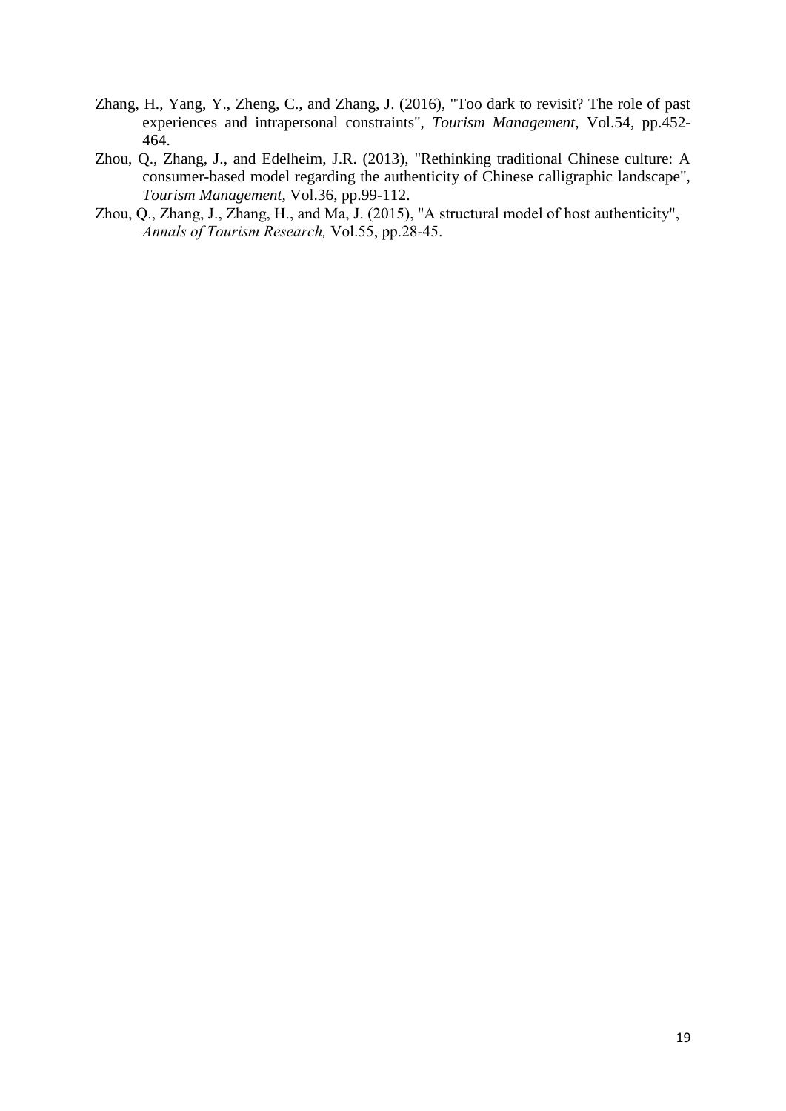- Zhang, H., Yang, Y., Zheng, C., and Zhang, J. (2016), "Too dark to revisit? The role of past experiences and intrapersonal constraints", *Tourism Management,* Vol.54, pp.452- 464.
- Zhou, Q., Zhang, J., and Edelheim, J.R. (2013), "Rethinking traditional Chinese culture: A consumer-based model regarding the authenticity of Chinese calligraphic landscape", *Tourism Management,* Vol.36, pp.99-112.
- Zhou, Q., Zhang, J., Zhang, H., and Ma, J. (2015), "A structural model of host authenticity", *Annals of Tourism Research,* Vol.55, pp.28-45.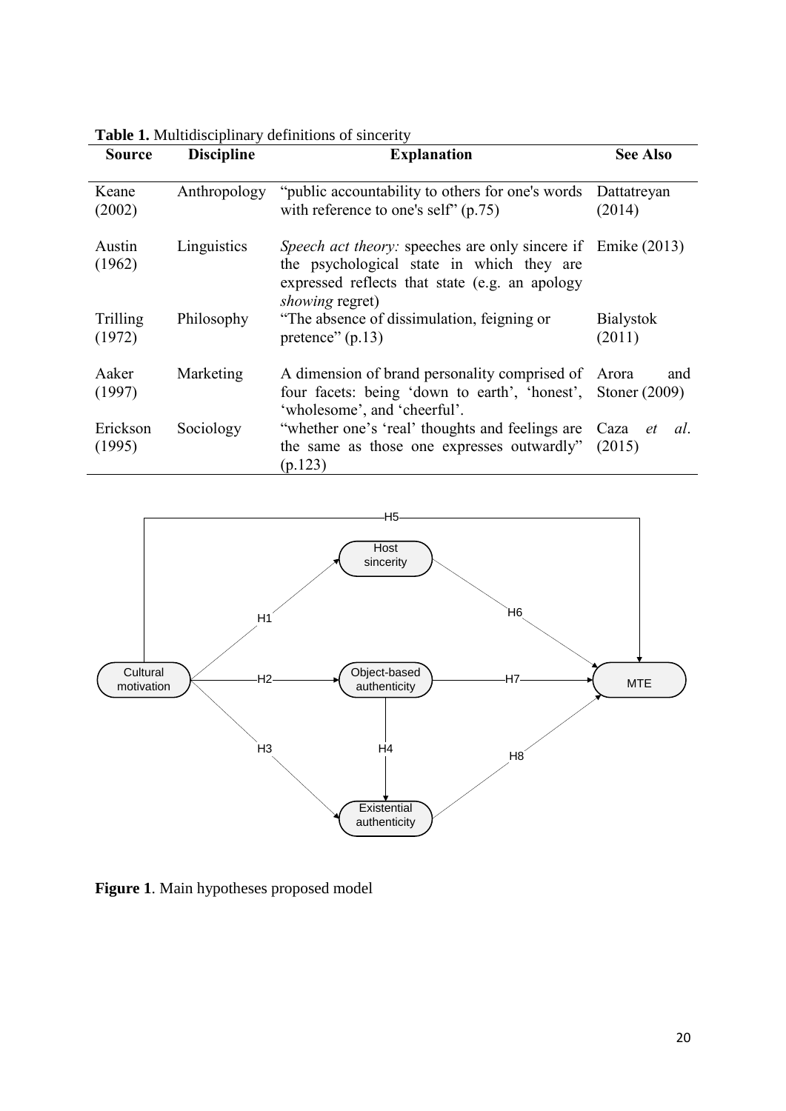| Source             | <b>Discipline</b> | <b>Explanation</b>                                                                                                                                                                           | <b>See Also</b>            |  |  |
|--------------------|-------------------|----------------------------------------------------------------------------------------------------------------------------------------------------------------------------------------------|----------------------------|--|--|
| Keane<br>(2002)    | Anthropology      | "public accountability to others for one's words"<br>with reference to one's self" $(p.75)$                                                                                                  | Dattatreyan<br>(2014)      |  |  |
| Austin<br>(1962)   | Linguistics       | <i>Speech act theory:</i> speeches are only sincere if Emike (2013)<br>the psychological state in which they are<br>expressed reflects that state (e.g. an apology<br><i>showing</i> regret) |                            |  |  |
| Trilling<br>(1972) | Philosophy        | "The absence of dissimulation, feigning or<br>pretence" $(p.13)$                                                                                                                             | <b>Bialystok</b><br>(2011) |  |  |
| Aaker<br>(1997)    | Marketing         | A dimension of brand personality comprised of Arora<br>four facets: being 'down to earth', 'honest', Stoner (2009)<br>'wholesome', and 'cheerful'.                                           | and                        |  |  |
| Erickson<br>(1995) | Sociology         | "whether one's 'real' thoughts and feelings are Caza <i>et</i><br>the same as those one expresses outwardly"<br>(p.123)                                                                      | al.<br>(2015)              |  |  |

**Table 1.** Multidisciplinary definitions of sincerity



**Figure 1**. Main hypotheses proposed model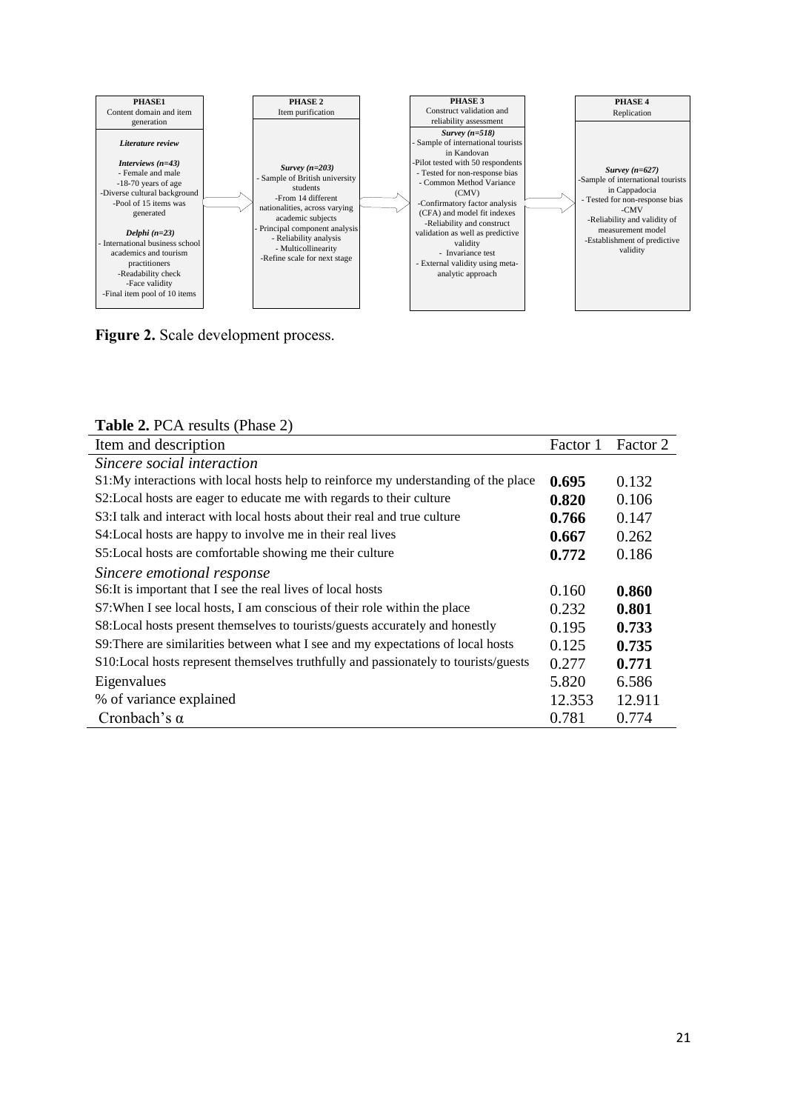

**Figure 2.** Scale development process.

| <b>Table 2.</b> I C/1 Results (1 masc $\mathbb{Z}$ )                                |          |          |
|-------------------------------------------------------------------------------------|----------|----------|
| Item and description                                                                | Factor 1 | Factor 2 |
| Sincere social interaction                                                          |          |          |
| S1:My interactions with local hosts help to reinforce my understanding of the place | 0.695    | 0.132    |
| S2: Local hosts are eager to educate me with regards to their culture               | 0.820    | 0.106    |
| S3:I talk and interact with local hosts about their real and true culture           | 0.766    | 0.147    |
| S4: Local hosts are happy to involve me in their real lives                         | 0.667    | 0.262    |
| S5: Local hosts are comfortable showing me their culture                            | 0.772    | 0.186    |
| Sincere emotional response                                                          |          |          |
| S6: It is important that I see the real lives of local hosts                        | 0.160    | 0.860    |
| S7: When I see local hosts, I am conscious of their role within the place           | 0.232    | 0.801    |
| S8:Local hosts present themselves to tourists/guests accurately and honestly        | 0.195    | 0.733    |
| S9: There are similarities between what I see and my expectations of local hosts    | 0.125    | 0.735    |
| S10:Local hosts represent themselves truthfully and passionately to tourists/guests | 0.277    | 0.771    |
| Eigenvalues                                                                         | 5.820    | 6.586    |
| % of variance explained                                                             | 12.353   | 12.911   |
| Cronbach's $\alpha$                                                                 | 0.781    | 0.774    |

#### **Table 2.** PCA results (Phase 2)

L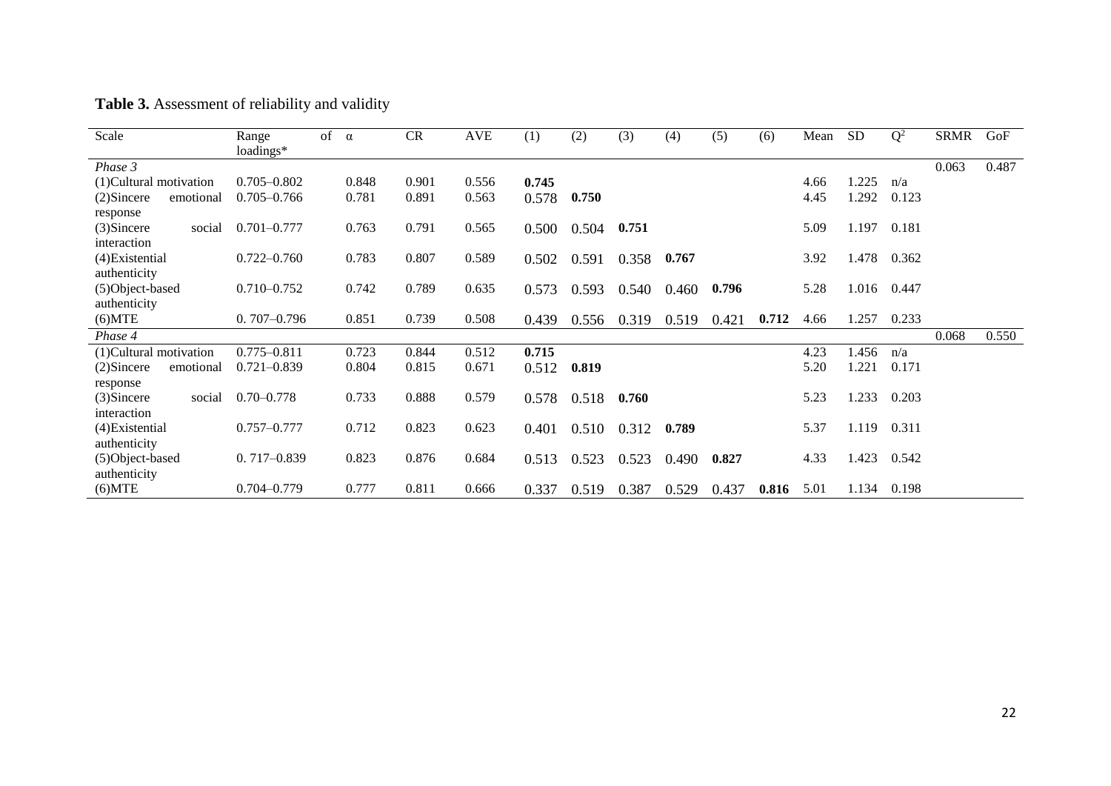| Table 3. Assessment of reliability and validity |  |  |
|-------------------------------------------------|--|--|
|-------------------------------------------------|--|--|

| Scale                      | Range<br>loadings* | of $\alpha$ |       | CR    | <b>AVE</b> | (1)   | (2)   | (3)   | (4)   | (5)   | (6)   | Mean | <b>SD</b> | $Q^2$ | <b>SRMR</b> | GoF   |
|----------------------------|--------------------|-------------|-------|-------|------------|-------|-------|-------|-------|-------|-------|------|-----------|-------|-------------|-------|
| Phase 3                    |                    |             |       |       |            |       |       |       |       |       |       |      |           |       | 0.063       | 0.487 |
| (1) Cultural motivation    | $0.705 - 0.802$    |             | 0.848 | 0.901 | 0.556      | 0.745 |       |       |       |       |       | 4.66 | .225      | n/a   |             |       |
| $(2)$ Sincere<br>emotional | $0.705 - 0.766$    |             | 0.781 | 0.891 | 0.563      | 0.578 | 0.750 |       |       |       |       | 4.45 | 1.292     | 0.123 |             |       |
| response                   |                    |             |       |       |            |       |       |       |       |       |       |      |           |       |             |       |
| $(3)$ Sincere<br>social    | $0.701 - 0.777$    |             | 0.763 | 0.791 | 0.565      | 0.500 | 0.504 | 0.751 |       |       |       | 5.09 | 1.197     | 0.181 |             |       |
| interaction                |                    |             |       |       |            |       |       |       |       |       |       |      |           |       |             |       |
| (4) Existential            | $0.722 - 0.760$    |             | 0.783 | 0.807 | 0.589      | 0.502 | 0.591 | 0.358 | 0.767 |       |       | 3.92 | .478      | 0.362 |             |       |
| authenticity               |                    |             |       |       |            |       |       |       |       |       |       |      |           |       |             |       |
| (5)Object-based            | $0.710 - 0.752$    |             | 0.742 | 0.789 | 0.635      | 0.573 | 0.593 | 0.540 | 0.460 | 0.796 |       | 5.28 | 1.016     | 0.447 |             |       |
| authenticity               | $0.707 - 0.796$    |             |       | 0.739 |            |       |       |       |       |       |       |      |           |       |             |       |
| $(6)$ MTE                  |                    |             | 0.851 |       | 0.508      | 0.439 | 0.556 | 0.319 | 0.519 | 0.421 | 0.712 | 4.66 | 1.257     | 0.233 |             |       |
| Phase 4                    |                    |             |       |       |            |       |       |       |       |       |       |      |           |       | 0.068       | 0.550 |
| (1)Cultural motivation     | $0.775 - 0.811$    |             | 0.723 | 0.844 | 0.512      | 0.715 |       |       |       |       |       | 4.23 | .456      | n/a   |             |       |
| $(2)$ Sincere<br>emotional | $0.721 - 0.839$    |             | 0.804 | 0.815 | 0.671      | 0.512 | 0.819 |       |       |       |       | 5.20 | .221      | 0.171 |             |       |
| response                   |                    |             |       |       |            |       |       |       |       |       |       |      |           |       |             |       |
| (3)Sincere<br>social       | $0.70 - 0.778$     |             | 0.733 | 0.888 | 0.579      | 0.578 | 0.518 | 0.760 |       |       |       | 5.23 | 1.233     | 0.203 |             |       |
| interaction                |                    |             |       |       |            |       |       |       |       |       |       |      |           |       |             |       |
| (4) Existential            | $0.757 - 0.777$    |             | 0.712 | 0.823 | 0.623      | 0.401 | 0.510 | 0.312 | 0.789 |       |       | 5.37 | 1.119     | 0.311 |             |       |
| authenticity               |                    |             |       |       |            |       |       |       |       |       |       |      |           |       |             |       |
| (5) Object-based           | $0.717 - 0.839$    |             | 0.823 | 0.876 | 0.684      | 0.513 | 0.523 | 0.523 | 0.490 | 0.827 |       | 4.33 | 1.423     | 0.542 |             |       |
| authenticity               |                    |             |       |       |            |       |       |       |       |       |       |      |           |       |             |       |
| $(6)$ MTE                  | $0.704 - 0.779$    |             | 0.777 | 0.811 | 0.666      | 0.337 | 0.519 | 0.387 | 0.529 | 0.437 | 0.816 | 5.01 | 1.134     | 0.198 |             |       |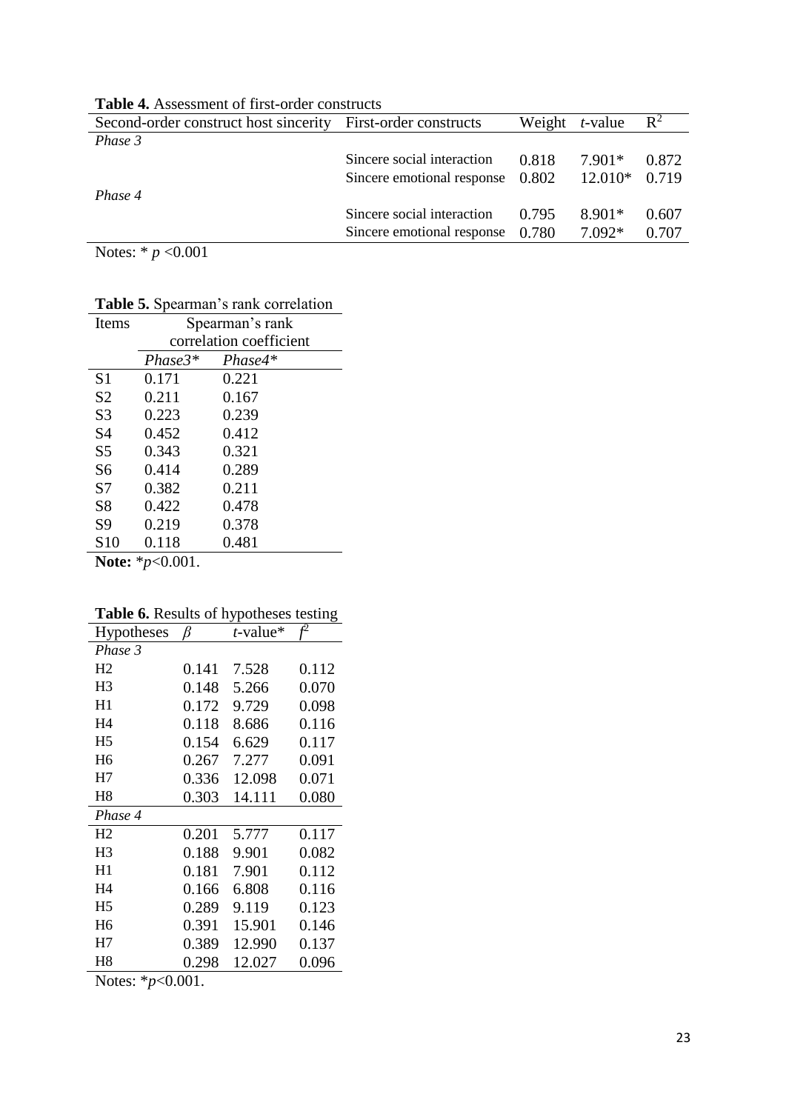|                            |                                                              |                                                                        | $\mathbb{R}^2$                       |  |  |  |  |
|----------------------------|--------------------------------------------------------------|------------------------------------------------------------------------|--------------------------------------|--|--|--|--|
|                            |                                                              |                                                                        |                                      |  |  |  |  |
| Sincere social interaction | 0.818                                                        | 7.901*                                                                 | 0.872                                |  |  |  |  |
|                            |                                                              |                                                                        |                                      |  |  |  |  |
|                            |                                                              |                                                                        |                                      |  |  |  |  |
| Sincere social interaction | 0.795                                                        | 8.901*                                                                 | 0.607                                |  |  |  |  |
|                            |                                                              | 7.092*                                                                 | 0.707                                |  |  |  |  |
|                            | Second-order construct host sincerity First-order constructs | Sincere emotional response 0.802<br>Sincere emotional response $0.780$ | Weight $t$ -value<br>$12.010*$ 0.719 |  |  |  |  |

**Table 4.** Assessment of first-order constructs

Notes: \* *p* <0.001

**Table 5.** Spearman's rank correlation

| Items                        | Spearman's rank         |           |  |  |  |  |
|------------------------------|-------------------------|-----------|--|--|--|--|
|                              | correlation coefficient |           |  |  |  |  |
|                              | $Phase3*$               | $Phase4*$ |  |  |  |  |
| S <sub>1</sub>               | 0.171                   | 0.221     |  |  |  |  |
| S <sub>2</sub>               | 0.211                   | 0.167     |  |  |  |  |
| S <sub>3</sub>               | 0.223                   | 0.239     |  |  |  |  |
| S <sub>4</sub>               | 0.452                   | 0.412     |  |  |  |  |
| S <sub>5</sub>               | 0.343                   | 0.321     |  |  |  |  |
| S6                           | 0.414                   | 0.289     |  |  |  |  |
| S7                           | 0.382                   | 0.211     |  |  |  |  |
| S8                           | 0.422                   | 0.478     |  |  |  |  |
| S <sub>9</sub>               | 0.219                   | 0.378     |  |  |  |  |
| S <sub>10</sub>              | 0.118                   | 0.481     |  |  |  |  |
| <b>Note:</b> $*_{p<0.001}$ . |                         |           |  |  |  |  |

|  | Table 6. Results of hypotheses testing |  |
|--|----------------------------------------|--|
|  |                                        |  |

| <b>Hypotheses</b> | ß     | $t$ -value* |       |
|-------------------|-------|-------------|-------|
| Phase 3           |       |             |       |
| H <sub>2</sub>    | 0.141 | 7.528       | 0.112 |
| H <sub>3</sub>    | 0.148 | 5.266       | 0.070 |
| H1                | 0.172 | 9.729       | 0.098 |
| H4                | 0.118 | 8.686       | 0.116 |
| H <sub>5</sub>    | 0.154 | 6.629       | 0.117 |
| H6                | 0.267 | 7.277       | 0.091 |
| H7                | 0.336 | 12.098      | 0.071 |
| H8                | 0.303 | 14.111      | 0.080 |
| Phase 4           |       |             |       |
| H <sub>2</sub>    | 0.201 | 5.777       | 0.117 |
| H <sub>3</sub>    | 0.188 | 9.901       | 0.082 |
| H1                | 0.181 | 7.901       | 0.112 |
| H4                | 0.166 | 6.808       | 0.116 |
| H <sub>5</sub>    | 0.289 | 9.119       | 0.123 |
| H <sub>6</sub>    | 0.391 | 15.901      | 0.146 |
| H7                | 0.389 | 12.990      | 0.137 |
| H8                | 0.298 | 12.027      | 0.096 |

Notes: \**p*<0.001.